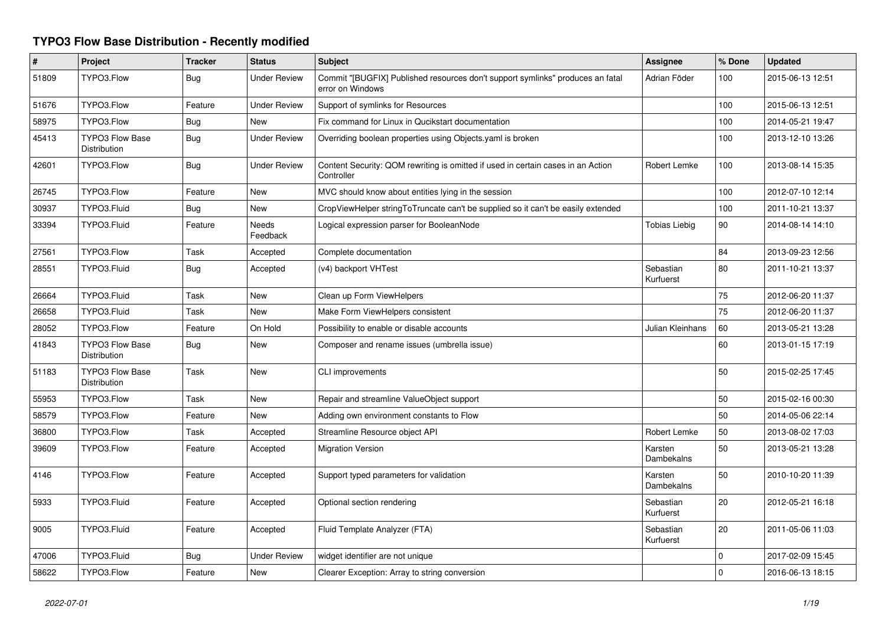## **TYPO3 Flow Base Distribution - Recently modified**

| $\#$  | Project                                       | <b>Tracker</b> | <b>Status</b>       | <b>Subject</b>                                                                                     | Assignee               | % Done      | <b>Updated</b>   |
|-------|-----------------------------------------------|----------------|---------------------|----------------------------------------------------------------------------------------------------|------------------------|-------------|------------------|
| 51809 | TYPO3.Flow                                    | Bug            | <b>Under Review</b> | Commit "[BUGFIX] Published resources don't support symlinks" produces an fatal<br>error on Windows | Adrian Föder           | 100         | 2015-06-13 12:51 |
| 51676 | TYPO3.Flow                                    | Feature        | <b>Under Review</b> | Support of symlinks for Resources                                                                  |                        | 100         | 2015-06-13 12:51 |
| 58975 | TYPO3.Flow                                    | Bug            | <b>New</b>          | Fix command for Linux in Qucikstart documentation                                                  |                        | 100         | 2014-05-21 19:47 |
| 45413 | TYPO3 Flow Base<br>Distribution               | Bug            | <b>Under Review</b> | Overriding boolean properties using Objects yaml is broken                                         |                        | 100         | 2013-12-10 13:26 |
| 42601 | TYPO3.Flow                                    | Bug            | <b>Under Review</b> | Content Security: QOM rewriting is omitted if used in certain cases in an Action<br>Controller     | Robert Lemke           | 100         | 2013-08-14 15:35 |
| 26745 | TYPO3.Flow                                    | Feature        | <b>New</b>          | MVC should know about entities lying in the session                                                |                        | 100         | 2012-07-10 12:14 |
| 30937 | TYPO3.Fluid                                   | <b>Bug</b>     | <b>New</b>          | CropViewHelper stringToTruncate can't be supplied so it can't be easily extended                   |                        | 100         | 2011-10-21 13:37 |
| 33394 | TYPO3.Fluid                                   | Feature        | Needs<br>Feedback   | Logical expression parser for BooleanNode                                                          | <b>Tobias Liebig</b>   | 90          | 2014-08-14 14:10 |
| 27561 | TYPO3.Flow                                    | Task           | Accepted            | Complete documentation                                                                             |                        | 84          | 2013-09-23 12:56 |
| 28551 | TYPO3.Fluid                                   | <b>Bug</b>     | Accepted            | (v4) backport VHTest                                                                               | Sebastian<br>Kurfuerst | 80          | 2011-10-21 13:37 |
| 26664 | TYPO3.Fluid                                   | Task           | New                 | Clean up Form ViewHelpers                                                                          |                        | 75          | 2012-06-20 11:37 |
| 26658 | TYPO3.Fluid                                   | Task           | <b>New</b>          | Make Form ViewHelpers consistent                                                                   |                        | 75          | 2012-06-20 11:37 |
| 28052 | TYPO3.Flow                                    | Feature        | On Hold             | Possibility to enable or disable accounts                                                          | Julian Kleinhans       | 60          | 2013-05-21 13:28 |
| 41843 | <b>TYPO3 Flow Base</b><br><b>Distribution</b> | <b>Bug</b>     | New                 | Composer and rename issues (umbrella issue)                                                        |                        | 60          | 2013-01-15 17:19 |
| 51183 | <b>TYPO3 Flow Base</b><br>Distribution        | Task           | <b>New</b>          | CLI improvements                                                                                   |                        | 50          | 2015-02-25 17:45 |
| 55953 | TYPO3.Flow                                    | Task           | <b>New</b>          | Repair and streamline ValueObject support                                                          |                        | 50          | 2015-02-16 00:30 |
| 58579 | TYPO3.Flow                                    | Feature        | New                 | Adding own environment constants to Flow                                                           |                        | 50          | 2014-05-06 22:14 |
| 36800 | TYPO3.Flow                                    | Task           | Accepted            | Streamline Resource object API                                                                     | Robert Lemke           | 50          | 2013-08-02 17:03 |
| 39609 | TYPO3.Flow                                    | Feature        | Accepted            | <b>Migration Version</b>                                                                           | Karsten<br>Dambekalns  | 50          | 2013-05-21 13:28 |
| 4146  | TYPO3.Flow                                    | Feature        | Accepted            | Support typed parameters for validation                                                            | Karsten<br>Dambekalns  | 50          | 2010-10-20 11:39 |
| 5933  | TYPO3.Fluid                                   | Feature        | Accepted            | Optional section rendering                                                                         | Sebastian<br>Kurfuerst | 20          | 2012-05-21 16:18 |
| 9005  | TYPO3.Fluid                                   | Feature        | Accepted            | Fluid Template Analyzer (FTA)                                                                      | Sebastian<br>Kurfuerst | 20          | 2011-05-06 11:03 |
| 47006 | TYPO3.Fluid                                   | Bug            | Under Review        | widget identifier are not unique                                                                   |                        | $\mathbf 0$ | 2017-02-09 15:45 |
| 58622 | TYPO3.Flow                                    | Feature        | New                 | Clearer Exception: Array to string conversion                                                      |                        | $\Omega$    | 2016-06-13 18:15 |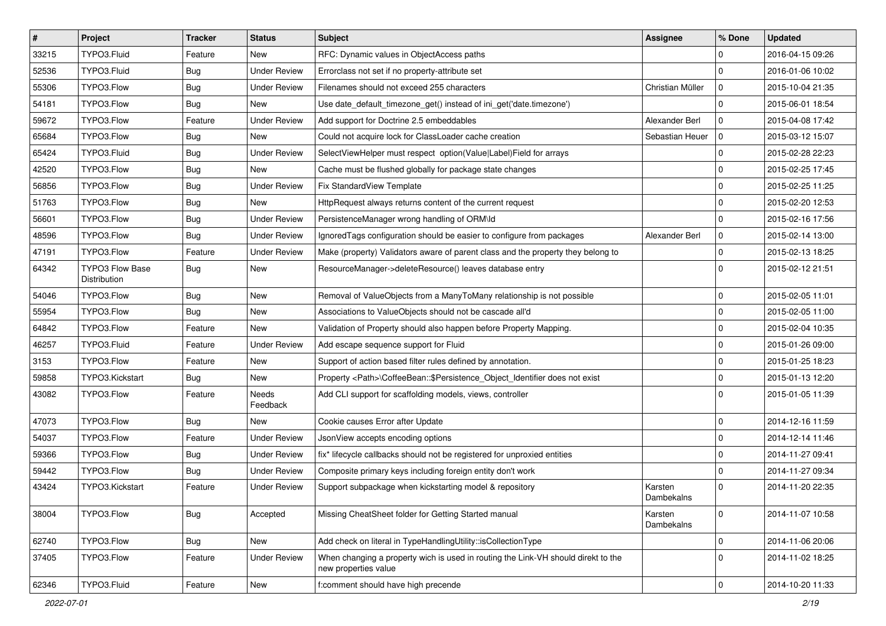| $\vert$ # | Project                                | <b>Tracker</b> | <b>Status</b>       | Subject                                                                                                   | <b>Assignee</b>       | % Done              | <b>Updated</b>   |
|-----------|----------------------------------------|----------------|---------------------|-----------------------------------------------------------------------------------------------------------|-----------------------|---------------------|------------------|
| 33215     | TYPO3.Fluid                            | Feature        | New                 | RFC: Dynamic values in ObjectAccess paths                                                                 |                       | $\mathbf 0$         | 2016-04-15 09:26 |
| 52536     | TYPO3.Fluid                            | <b>Bug</b>     | <b>Under Review</b> | Errorclass not set if no property-attribute set                                                           |                       | $\Omega$            | 2016-01-06 10:02 |
| 55306     | TYPO3.Flow                             | <b>Bug</b>     | <b>Under Review</b> | Filenames should not exceed 255 characters                                                                | Christian Müller      | l 0                 | 2015-10-04 21:35 |
| 54181     | TYPO3.Flow                             | Bug            | New                 | Use date_default_timezone_get() instead of ini_get('date.timezone')                                       |                       | $\mathbf 0$         | 2015-06-01 18:54 |
| 59672     | TYPO3.Flow                             | Feature        | <b>Under Review</b> | Add support for Doctrine 2.5 embeddables                                                                  | Alexander Berl        | $\mathbf 0$         | 2015-04-08 17:42 |
| 65684     | TYPO3.Flow                             | Bug            | New                 | Could not acquire lock for ClassLoader cache creation                                                     | Sebastian Heuer       | $\mathbf 0$         | 2015-03-12 15:07 |
| 65424     | TYPO3.Fluid                            | Bug            | <b>Under Review</b> | SelectViewHelper must respect option(Value Label)Field for arrays                                         |                       | $\mathbf 0$         | 2015-02-28 22:23 |
| 42520     | TYPO3.Flow                             | Bug            | New                 | Cache must be flushed globally for package state changes                                                  |                       | $\mathbf 0$         | 2015-02-25 17:45 |
| 56856     | TYPO3.Flow                             | Bug            | <b>Under Review</b> | Fix StandardView Template                                                                                 |                       | $\mathbf 0$         | 2015-02-25 11:25 |
| 51763     | TYPO3.Flow                             | <b>Bug</b>     | <b>New</b>          | HttpRequest always returns content of the current request                                                 |                       | $\mathbf 0$         | 2015-02-20 12:53 |
| 56601     | TYPO3.Flow                             | Bug            | <b>Under Review</b> | PersistenceManager wrong handling of ORM\ld                                                               |                       | $\mathbf 0$         | 2015-02-16 17:56 |
| 48596     | TYPO3.Flow                             | Bug            | <b>Under Review</b> | Ignored Tags configuration should be easier to configure from packages                                    | Alexander Berl        | $\mathbf 0$         | 2015-02-14 13:00 |
| 47191     | TYPO3.Flow                             | Feature        | <b>Under Review</b> | Make (property) Validators aware of parent class and the property they belong to                          |                       | $\mathbf 0$         | 2015-02-13 18:25 |
| 64342     | <b>TYPO3 Flow Base</b><br>Distribution | Bug            | New                 | ResourceManager->deleteResource() leaves database entry                                                   |                       | $\Omega$            | 2015-02-12 21:51 |
| 54046     | TYPO3.Flow                             | Bug            | New                 | Removal of ValueObjects from a ManyToMany relationship is not possible                                    |                       | $\mathbf 0$         | 2015-02-05 11:01 |
| 55954     | TYPO3.Flow                             | Bug            | <b>New</b>          | Associations to ValueObjects should not be cascade all'd                                                  |                       | $\mathbf 0$         | 2015-02-05 11:00 |
| 64842     | TYPO3.Flow                             | Feature        | <b>New</b>          | Validation of Property should also happen before Property Mapping.                                        |                       | $\mathbf 0$         | 2015-02-04 10:35 |
| 46257     | TYPO3.Fluid                            | Feature        | <b>Under Review</b> | Add escape sequence support for Fluid                                                                     |                       | $\mathbf 0$         | 2015-01-26 09:00 |
| 3153      | TYPO3.Flow                             | Feature        | <b>New</b>          | Support of action based filter rules defined by annotation.                                               |                       | $\mathbf 0$         | 2015-01-25 18:23 |
| 59858     | TYPO3.Kickstart                        | Bug            | New                 | Property <path>\CoffeeBean::\$Persistence_Object_Identifier does not exist</path>                         |                       | $\mathbf 0$         | 2015-01-13 12:20 |
| 43082     | TYPO3.Flow                             | Feature        | Needs<br>Feedback   | Add CLI support for scaffolding models, views, controller                                                 |                       | $\Omega$            | 2015-01-05 11:39 |
| 47073     | TYPO3.Flow                             | Bug            | <b>New</b>          | Cookie causes Error after Update                                                                          |                       | $\mathbf 0$         | 2014-12-16 11:59 |
| 54037     | TYPO3.Flow                             | Feature        | <b>Under Review</b> | JsonView accepts encoding options                                                                         |                       | $\mathbf 0$         | 2014-12-14 11:46 |
| 59366     | TYPO3.Flow                             | <b>Bug</b>     | <b>Under Review</b> | fix* lifecycle callbacks should not be registered for unproxied entities                                  |                       | $\mathbf 0$         | 2014-11-27 09:41 |
| 59442     | TYPO3.Flow                             | Bug            | <b>Under Review</b> | Composite primary keys including foreign entity don't work                                                |                       | $\mathbf 0$         | 2014-11-27 09:34 |
| 43424     | TYPO3.Kickstart                        | Feature        | <b>Under Review</b> | Support subpackage when kickstarting model & repository                                                   | Karsten<br>Dambekalns | $\Omega$            | 2014-11-20 22:35 |
| 38004     | TYPO3.Flow                             | <b>Bug</b>     | Accepted            | Missing CheatSheet folder for Getting Started manual                                                      | Karsten<br>Dambekalns | $\mathbf 0$         | 2014-11-07 10:58 |
| 62740     | TYPO3.Flow                             | Bug            | New                 | Add check on literal in TypeHandlingUtility::isCollectionType                                             |                       | $\mathbf 0$         | 2014-11-06 20:06 |
| 37405     | TYPO3.Flow                             | Feature        | <b>Under Review</b> | When changing a property wich is used in routing the Link-VH should direkt to the<br>new properties value |                       | $\mathbf 0$         | 2014-11-02 18:25 |
| 62346     | TYPO3.Fluid                            | Feature        | New                 | f:comment should have high precende                                                                       |                       | $\mathsf{O}\xspace$ | 2014-10-20 11:33 |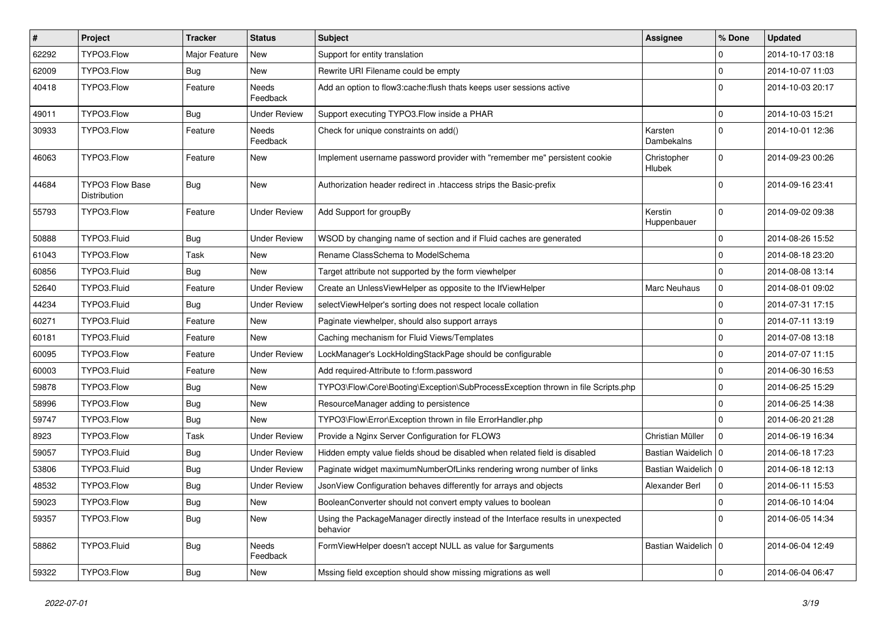| #     | Project                         | <b>Tracker</b> | <b>Status</b>       | <b>Subject</b>                                                                               | <b>Assignee</b>              | % Done      | <b>Updated</b>   |
|-------|---------------------------------|----------------|---------------------|----------------------------------------------------------------------------------------------|------------------------------|-------------|------------------|
| 62292 | TYPO3.Flow                      | Major Feature  | <b>New</b>          | Support for entity translation                                                               |                              | 0           | 2014-10-17 03:18 |
| 62009 | TYPO3.Flow                      | Bug            | New                 | Rewrite URI Filename could be empty                                                          |                              | 0           | 2014-10-07 11:03 |
| 40418 | TYPO3.Flow                      | Feature        | Needs<br>Feedback   | Add an option to flow3:cache: flush thats keeps user sessions active                         |                              | $\Omega$    | 2014-10-03 20:17 |
| 49011 | TYPO3.Flow                      | Bug            | <b>Under Review</b> | Support executing TYPO3.Flow inside a PHAR                                                   |                              | $\mathbf 0$ | 2014-10-03 15:21 |
| 30933 | TYPO3.Flow                      | Feature        | Needs<br>Feedback   | Check for unique constraints on add()                                                        | Karsten<br>Dambekalns        | 0           | 2014-10-01 12:36 |
| 46063 | TYPO3.Flow                      | Feature        | New                 | Implement username password provider with "remember me" persistent cookie                    | Christopher<br><b>Hlubek</b> | $\mathbf 0$ | 2014-09-23 00:26 |
| 44684 | TYPO3 Flow Base<br>Distribution | Bug            | New                 | Authorization header redirect in .htaccess strips the Basic-prefix                           |                              | $\Omega$    | 2014-09-16 23:41 |
| 55793 | TYPO3.Flow                      | Feature        | <b>Under Review</b> | Add Support for groupBy                                                                      | Kerstin<br>Huppenbauer       | $\Omega$    | 2014-09-02 09:38 |
| 50888 | TYPO3.Fluid                     | <b>Bug</b>     | <b>Under Review</b> | WSOD by changing name of section and if Fluid caches are generated                           |                              | $\mathbf 0$ | 2014-08-26 15:52 |
| 61043 | TYPO3.Flow                      | Task           | New                 | Rename ClassSchema to ModelSchema                                                            |                              | $\mathbf 0$ | 2014-08-18 23:20 |
| 60856 | TYPO3.Fluid                     | Bug            | New                 | Target attribute not supported by the form viewhelper                                        |                              | 0           | 2014-08-08 13:14 |
| 52640 | TYPO3.Fluid                     | Feature        | <b>Under Review</b> | Create an UnlessViewHelper as opposite to the IfViewHelper                                   | <b>Marc Neuhaus</b>          | $\mathbf 0$ | 2014-08-01 09:02 |
| 44234 | TYPO3.Fluid                     | <b>Bug</b>     | <b>Under Review</b> | selectViewHelper's sorting does not respect locale collation                                 |                              | 0           | 2014-07-31 17:15 |
| 60271 | TYPO3.Fluid                     | Feature        | New                 | Paginate viewhelper, should also support arrays                                              |                              | $\mathbf 0$ | 2014-07-11 13:19 |
| 60181 | TYPO3.Fluid                     | Feature        | New                 | Caching mechanism for Fluid Views/Templates                                                  |                              | $\mathbf 0$ | 2014-07-08 13:18 |
| 60095 | TYPO3.Flow                      | Feature        | <b>Under Review</b> | LockManager's LockHoldingStackPage should be configurable                                    |                              | $\mathbf 0$ | 2014-07-07 11:15 |
| 60003 | TYPO3.Fluid                     | Feature        | New                 | Add required-Attribute to f:form.password                                                    |                              | $\mathbf 0$ | 2014-06-30 16:53 |
| 59878 | TYPO3.Flow                      | <b>Bug</b>     | <b>New</b>          | TYPO3\Flow\Core\Booting\Exception\SubProcessException thrown in file Scripts.php             |                              | $\mathbf 0$ | 2014-06-25 15:29 |
| 58996 | TYPO3.Flow                      | Bug            | New                 | ResourceManager adding to persistence                                                        |                              | $\Omega$    | 2014-06-25 14:38 |
| 59747 | TYPO3.Flow                      | Bug            | New                 | TYPO3\Flow\Error\Exception thrown in file ErrorHandler.php                                   |                              | $\Omega$    | 2014-06-20 21:28 |
| 8923  | TYPO3.Flow                      | Task           | <b>Under Review</b> | Provide a Nginx Server Configuration for FLOW3                                               | Christian Müller             | 0           | 2014-06-19 16:34 |
| 59057 | TYPO3.Fluid                     | Bug            | <b>Under Review</b> | Hidden empty value fields shoud be disabled when related field is disabled                   | Bastian Waidelich   0        |             | 2014-06-18 17:23 |
| 53806 | TYPO3.Fluid                     | Bug            | <b>Under Review</b> | Paginate widget maximumNumberOfLinks rendering wrong number of links                         | Bastian Waidelich   0        |             | 2014-06-18 12:13 |
| 48532 | TYPO3.Flow                      | <b>Bug</b>     | <b>Under Review</b> | JsonView Configuration behaves differently for arrays and objects                            | Alexander Berl               | 0           | 2014-06-11 15:53 |
| 59023 | TYPO3.Flow                      | <b>Bug</b>     | New                 | BooleanConverter should not convert empty values to boolean                                  |                              | 0           | 2014-06-10 14:04 |
| 59357 | TYPO3.Flow                      | <b>Bug</b>     | New                 | Using the PackageManager directly instead of the Interface results in unexpected<br>behavior |                              | $\Omega$    | 2014-06-05 14:34 |
| 58862 | TYPO3.Fluid                     | <b>Bug</b>     | Needs<br>Feedback   | FormViewHelper doesn't accept NULL as value for \$arguments                                  | Bastian Waidelich   0        |             | 2014-06-04 12:49 |
| 59322 | TYPO3.Flow                      | <b>Bug</b>     | New                 | Mssing field exception should show missing migrations as well                                |                              | 0           | 2014-06-04 06:47 |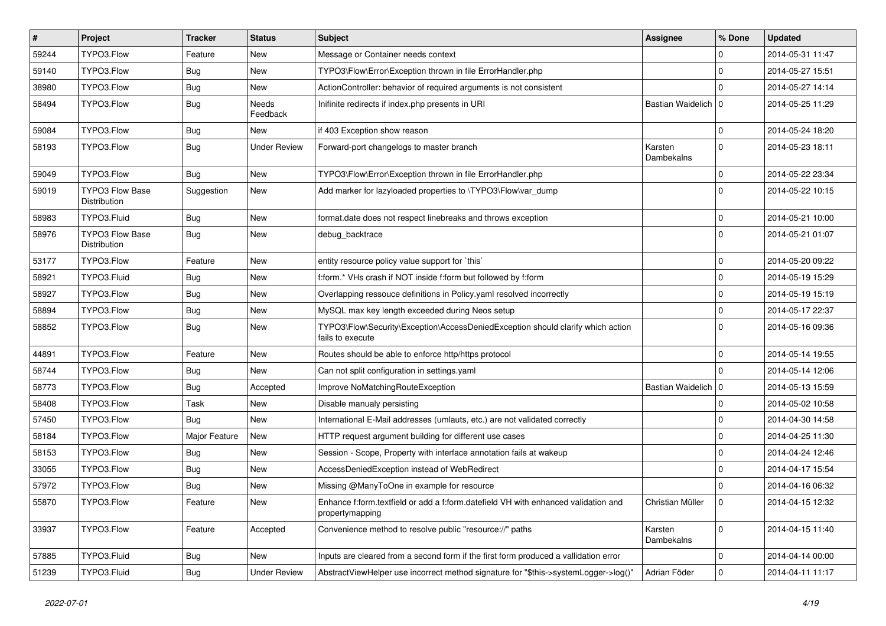| #     | Project                                | <b>Tracker</b> | <b>Status</b>            | <b>Subject</b>                                                                                        | Assignee              | % Done       | <b>Updated</b>   |
|-------|----------------------------------------|----------------|--------------------------|-------------------------------------------------------------------------------------------------------|-----------------------|--------------|------------------|
| 59244 | TYPO3.Flow                             | Feature        | <b>New</b>               | Message or Container needs context                                                                    |                       | 0            | 2014-05-31 11:47 |
| 59140 | TYPO3.Flow                             | Bug            | <b>New</b>               | TYPO3\Flow\Error\Exception thrown in file ErrorHandler.php                                            |                       | 0            | 2014-05-27 15:51 |
| 38980 | TYPO3.Flow                             | Bug            | New                      | ActionController: behavior of required arguments is not consistent                                    |                       | $\Omega$     | 2014-05-27 14:14 |
| 58494 | TYPO3.Flow                             | Bug            | <b>Needs</b><br>Feedback | Inifinite redirects if index.php presents in URI                                                      | Bastian Waidelich   0 |              | 2014-05-25 11:29 |
| 59084 | TYPO3.Flow                             | Bug            | New                      | if 403 Exception show reason                                                                          |                       | 0            | 2014-05-24 18:20 |
| 58193 | TYPO3.Flow                             | Bug            | <b>Under Review</b>      | Forward-port changelogs to master branch                                                              | Karsten<br>Dambekalns | $\Omega$     | 2014-05-23 18:11 |
| 59049 | TYPO3.Flow                             | Bug            | <b>New</b>               | TYPO3\Flow\Error\Exception thrown in file ErrorHandler.php                                            |                       | $\mathbf 0$  | 2014-05-22 23:34 |
| 59019 | <b>TYPO3 Flow Base</b><br>Distribution | Suggestion     | New                      | Add marker for lazyloaded properties to \TYPO3\Flow\var_dump                                          |                       | $\Omega$     | 2014-05-22 10:15 |
| 58983 | TYPO3.Fluid                            | Bug            | New                      | format.date does not respect linebreaks and throws exception                                          |                       | $\mathbf 0$  | 2014-05-21 10:00 |
| 58976 | <b>TYPO3 Flow Base</b><br>Distribution | Bug            | <b>New</b>               | debug_backtrace                                                                                       |                       | $\Omega$     | 2014-05-21 01:07 |
| 53177 | TYPO3.Flow                             | Feature        | <b>New</b>               | entity resource policy value support for `this`                                                       |                       | $\mathbf 0$  | 2014-05-20 09:22 |
| 58921 | TYPO3.Fluid                            | Bug            | New                      | f:form.* VHs crash if NOT inside f:form but followed by f:form                                        |                       | $\mathbf 0$  | 2014-05-19 15:29 |
| 58927 | TYPO3.Flow                             | Bug            | New                      | Overlapping ressouce definitions in Policy.yaml resolved incorrectly                                  |                       | $\mathbf 0$  | 2014-05-19 15:19 |
| 58894 | TYPO3.Flow                             | Bug            | <b>New</b>               | MySQL max key length exceeded during Neos setup                                                       |                       | 0            | 2014-05-17 22:37 |
| 58852 | TYPO3.Flow                             | Bug            | New                      | TYPO3\Flow\Security\Exception\AccessDeniedException should clarify which action<br>fails to execute   |                       | $\Omega$     | 2014-05-16 09:36 |
| 44891 | TYPO3.Flow                             | Feature        | <b>New</b>               | Routes should be able to enforce http/https protocol                                                  |                       | $\mathbf 0$  | 2014-05-14 19:55 |
| 58744 | TYPO3.Flow                             | Bug            | New                      | Can not split configuration in settings.yaml                                                          |                       | $\Omega$     | 2014-05-14 12:06 |
| 58773 | TYPO3.Flow                             | <b>Bug</b>     | Accepted                 | Improve NoMatchingRouteException                                                                      | Bastian Waidelich   0 |              | 2014-05-13 15:59 |
| 58408 | TYPO3.Flow                             | Task           | New                      | Disable manualy persisting                                                                            |                       | $\Omega$     | 2014-05-02 10:58 |
| 57450 | TYPO3.Flow                             | Bug            | New                      | International E-Mail addresses (umlauts, etc.) are not validated correctly                            |                       | $\mathbf 0$  | 2014-04-30 14:58 |
| 58184 | TYPO3.Flow                             | Major Feature  | New                      | HTTP request argument building for different use cases                                                |                       | 0            | 2014-04-25 11:30 |
| 58153 | TYPO3.Flow                             | Bug            | New                      | Session - Scope, Property with interface annotation fails at wakeup                                   |                       | $\mathbf 0$  | 2014-04-24 12:46 |
| 33055 | TYPO3.Flow                             | Bug            | <b>New</b>               | AccessDeniedException instead of WebRedirect                                                          |                       | $\mathbf 0$  | 2014-04-17 15:54 |
| 57972 | TYPO3.Flow                             | Bug            | New                      | Missing @ManyToOne in example for resource                                                            |                       | 0            | 2014-04-16 06:32 |
| 55870 | TYPO3.Flow                             | Feature        | New                      | Enhance f:form.textfield or add a f:form.datefield VH with enhanced validation and<br>propertymapping | Christian Müller      |              | 2014-04-15 12:32 |
| 33937 | TYPO3.Flow                             | Feature        | Accepted                 | Convenience method to resolve public "resource://" paths                                              | Karsten<br>Dambekalns | $\mathbf 0$  | 2014-04-15 11:40 |
| 57885 | TYPO3.Fluid                            | <b>Bug</b>     | New                      | Inputs are cleared from a second form if the first form produced a vallidation error                  |                       | $\mathsf{O}$ | 2014-04-14 00:00 |
| 51239 | TYPO3.Fluid                            | <b>Bug</b>     | <b>Under Review</b>      | AbstractViewHelper use incorrect method signature for "\$this->systemLogger->log()"                   | Adrian Föder          | 0            | 2014-04-11 11:17 |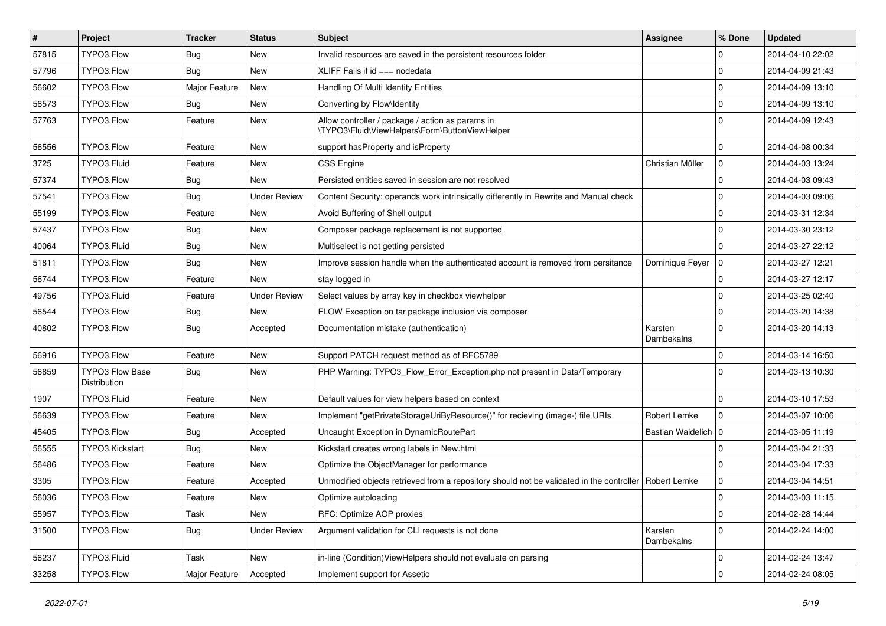| $\sharp$ | Project                                | <b>Tracker</b> | <b>Status</b>       | <b>Subject</b>                                                                                     | Assignee              | % Done      | <b>Updated</b>   |
|----------|----------------------------------------|----------------|---------------------|----------------------------------------------------------------------------------------------------|-----------------------|-------------|------------------|
| 57815    | TYPO3.Flow                             | Bug            | New                 | Invalid resources are saved in the persistent resources folder                                     |                       | 0           | 2014-04-10 22:02 |
| 57796    | TYPO3.Flow                             | <b>Bug</b>     | <b>New</b>          | XLIFF Fails if id === nodedata                                                                     |                       | 0           | 2014-04-09 21:43 |
| 56602    | TYPO3.Flow                             | Major Feature  | New                 | Handling Of Multi Identity Entities                                                                |                       | $\mathbf 0$ | 2014-04-09 13:10 |
| 56573    | TYPO3.Flow                             | Bug            | New                 | Converting by Flow\Identity                                                                        |                       | $\mathbf 0$ | 2014-04-09 13:10 |
| 57763    | TYPO3.Flow                             | Feature        | New                 | Allow controller / package / action as params in<br>\TYPO3\Fluid\ViewHelpers\Form\ButtonViewHelper |                       | $\Omega$    | 2014-04-09 12:43 |
| 56556    | TYPO3.Flow                             | Feature        | <b>New</b>          | support has Property and is Property                                                               |                       | $\mathbf 0$ | 2014-04-08 00:34 |
| 3725     | TYPO3.Fluid                            | Feature        | New                 | CSS Engine                                                                                         | Christian Müller      | 0           | 2014-04-03 13:24 |
| 57374    | TYPO3.Flow                             | Bug            | New                 | Persisted entities saved in session are not resolved                                               |                       | $\mathbf 0$ | 2014-04-03 09:43 |
| 57541    | TYPO3.Flow                             | Bug            | <b>Under Review</b> | Content Security: operands work intrinsically differently in Rewrite and Manual check              |                       | 0           | 2014-04-03 09:06 |
| 55199    | TYPO3.Flow                             | Feature        | New                 | Avoid Buffering of Shell output                                                                    |                       | $\mathbf 0$ | 2014-03-31 12:34 |
| 57437    | TYPO3.Flow                             | Bug            | New                 | Composer package replacement is not supported                                                      |                       | $\mathbf 0$ | 2014-03-30 23:12 |
| 40064    | TYPO3.Fluid                            | Bug            | New                 | Multiselect is not getting persisted                                                               |                       | 0           | 2014-03-27 22:12 |
| 51811    | TYPO3.Flow                             | Bug            | New                 | Improve session handle when the authenticated account is removed from persitance                   | Dominique Feyer       | 10          | 2014-03-27 12:21 |
| 56744    | TYPO3.Flow                             | Feature        | New                 | stay logged in                                                                                     |                       | 0           | 2014-03-27 12:17 |
| 49756    | TYPO3.Fluid                            | Feature        | <b>Under Review</b> | Select values by array key in checkbox viewhelper                                                  |                       | $\mathbf 0$ | 2014-03-25 02:40 |
| 56544    | TYPO3.Flow                             | <b>Bug</b>     | New                 | FLOW Exception on tar package inclusion via composer                                               |                       | $\mathbf 0$ | 2014-03-20 14:38 |
| 40802    | TYPO3.Flow                             | Bug            | Accepted            | Documentation mistake (authentication)                                                             | Karsten<br>Dambekalns | $\Omega$    | 2014-03-20 14:13 |
| 56916    | TYPO3.Flow                             | Feature        | New                 | Support PATCH request method as of RFC5789                                                         |                       | $\mathbf 0$ | 2014-03-14 16:50 |
| 56859    | <b>TYPO3 Flow Base</b><br>Distribution | Bug            | New                 | PHP Warning: TYPO3 Flow Error Exception.php not present in Data/Temporary                          |                       | $\Omega$    | 2014-03-13 10:30 |
| 1907     | TYPO3.Fluid                            | Feature        | <b>New</b>          | Default values for view helpers based on context                                                   |                       | $\mathbf 0$ | 2014-03-10 17:53 |
| 56639    | TYPO3.Flow                             | Feature        | New                 | Implement "getPrivateStorageUriByResource()" for recieving (image-) file URIs                      | Robert Lemke          | $\mathbf 0$ | 2014-03-07 10:06 |
| 45405    | TYPO3.Flow                             | Bug            | Accepted            | Uncaught Exception in DynamicRoutePart                                                             | Bastian Waidelich   0 |             | 2014-03-05 11:19 |
| 56555    | TYPO3.Kickstart                        | Bug            | <b>New</b>          | Kickstart creates wrong labels in New.html                                                         |                       | 0           | 2014-03-04 21:33 |
| 56486    | TYPO3.Flow                             | Feature        | New                 | Optimize the ObjectManager for performance                                                         |                       | $\Omega$    | 2014-03-04 17:33 |
| 3305     | TYPO3.Flow                             | Feature        | Accepted            | Unmodified objects retrieved from a repository should not be validated in the controller           | Robert Lemke          | $\mathbf 0$ | 2014-03-04 14:51 |
| 56036    | TYPO3.Flow                             | Feature        | New                 | Optimize autoloading                                                                               |                       | 0           | 2014-03-03 11:15 |
| 55957    | TYPO3.Flow                             | Task           | New                 | RFC: Optimize AOP proxies                                                                          |                       | $\mathbf 0$ | 2014-02-28 14:44 |
| 31500    | TYPO3.Flow                             | <b>Bug</b>     | <b>Under Review</b> | Argument validation for CLI requests is not done                                                   | Karsten<br>Dambekalns | $\mathbf 0$ | 2014-02-24 14:00 |
| 56237    | TYPO3.Fluid                            | Task           | New                 | in-line (Condition) ViewHelpers should not evaluate on parsing                                     |                       | 0           | 2014-02-24 13:47 |
| 33258    | TYPO3.Flow                             | Major Feature  | Accepted            | Implement support for Assetic                                                                      |                       | $\mathbf 0$ | 2014-02-24 08:05 |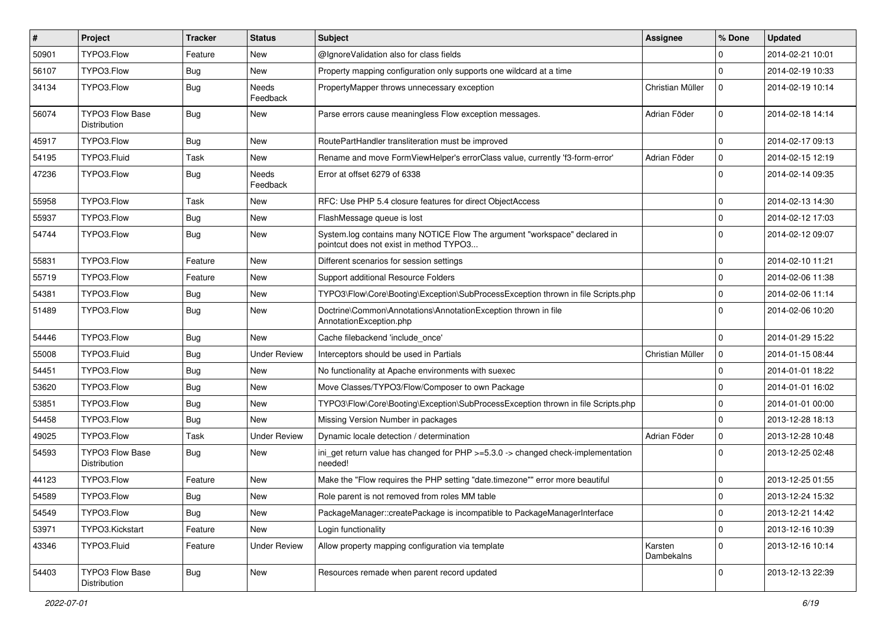| #     | Project                                | <b>Tracker</b> | <b>Status</b>       | <b>Subject</b>                                                                                                       | <b>Assignee</b>       | % Done       | <b>Updated</b>   |
|-------|----------------------------------------|----------------|---------------------|----------------------------------------------------------------------------------------------------------------------|-----------------------|--------------|------------------|
| 50901 | TYPO3.Flow                             | Feature        | New                 | @IgnoreValidation also for class fields                                                                              |                       | 0            | 2014-02-21 10:01 |
| 56107 | TYPO3.Flow                             | Bug            | New                 | Property mapping configuration only supports one wildcard at a time                                                  |                       | 0            | 2014-02-19 10:33 |
| 34134 | TYPO3.Flow                             | Bug            | Needs<br>Feedback   | PropertyMapper throws unnecessary exception                                                                          | Christian Müller      | 0            | 2014-02-19 10:14 |
| 56074 | <b>TYPO3 Flow Base</b><br>Distribution | Bug            | <b>New</b>          | Parse errors cause meaningless Flow exception messages.                                                              | Adrian Föder          | $\mathbf 0$  | 2014-02-18 14:14 |
| 45917 | TYPO3.Flow                             | Bug            | <b>New</b>          | RoutePartHandler transliteration must be improved                                                                    |                       | $\mathbf 0$  | 2014-02-17 09:13 |
| 54195 | TYPO3.Fluid                            | Task           | New                 | Rename and move FormViewHelper's errorClass value, currently 'f3-form-error'                                         | Adrian Föder          | 0            | 2014-02-15 12:19 |
| 47236 | TYPO3.Flow                             | Bug            | Needs<br>Feedback   | Error at offset 6279 of 6338                                                                                         |                       | $\Omega$     | 2014-02-14 09:35 |
| 55958 | TYPO3.Flow                             | Task           | New                 | RFC: Use PHP 5.4 closure features for direct ObjectAccess                                                            |                       | $\mathbf 0$  | 2014-02-13 14:30 |
| 55937 | TYPO3.Flow                             | Bug            | New                 | FlashMessage queue is lost                                                                                           |                       | $\mathbf 0$  | 2014-02-12 17:03 |
| 54744 | TYPO3.Flow                             | Bug            | <b>New</b>          | System.log contains many NOTICE Flow The argument "workspace" declared in<br>pointcut does not exist in method TYPO3 |                       | $\Omega$     | 2014-02-12 09:07 |
| 55831 | TYPO3.Flow                             | Feature        | <b>New</b>          | Different scenarios for session settings                                                                             |                       | $\mathbf 0$  | 2014-02-10 11:21 |
| 55719 | TYPO3.Flow                             | Feature        | New                 | Support additional Resource Folders                                                                                  |                       | $\mathbf 0$  | 2014-02-06 11:38 |
| 54381 | TYPO3.Flow                             | Bug            | New                 | TYPO3\Flow\Core\Booting\Exception\SubProcessException thrown in file Scripts.php                                     |                       | $\mathbf 0$  | 2014-02-06 11:14 |
| 51489 | TYPO3.Flow                             | Bug            | <b>New</b>          | Doctrine\Common\Annotations\AnnotationException thrown in file<br>AnnotationException.php                            |                       | $\Omega$     | 2014-02-06 10:20 |
| 54446 | TYPO3.Flow                             | Bug            | <b>New</b>          | Cache filebackend 'include once'                                                                                     |                       | $\mathbf 0$  | 2014-01-29 15:22 |
| 55008 | TYPO3.Fluid                            | Bug            | <b>Under Review</b> | Interceptors should be used in Partials                                                                              | Christian Müller      | $\mathbf 0$  | 2014-01-15 08:44 |
| 54451 | TYPO3.Flow                             | Bug            | New                 | No functionality at Apache environments with suexec                                                                  |                       | $\mathbf 0$  | 2014-01-01 18:22 |
| 53620 | TYPO3.Flow                             | <b>Bug</b>     | <b>New</b>          | Move Classes/TYPO3/Flow/Composer to own Package                                                                      |                       | $\mathbf 0$  | 2014-01-01 16:02 |
| 53851 | TYPO3.Flow                             | Bug            | New                 | TYPO3\Flow\Core\Booting\Exception\SubProcessException thrown in file Scripts.php                                     |                       | 0            | 2014-01-01 00:00 |
| 54458 | TYPO3.Flow                             | <b>Bug</b>     | New                 | Missing Version Number in packages                                                                                   |                       | $\mathbf 0$  | 2013-12-28 18:13 |
| 49025 | TYPO3.Flow                             | Task           | <b>Under Review</b> | Dynamic locale detection / determination                                                                             | Adrian Föder          | 0            | 2013-12-28 10:48 |
| 54593 | <b>TYPO3 Flow Base</b><br>Distribution | <b>Bug</b>     | New                 | ini_get return value has changed for PHP >=5.3.0 -> changed check-implementation<br>needed!                          |                       | $\Omega$     | 2013-12-25 02:48 |
| 44123 | TYPO3.Flow                             | Feature        | <b>New</b>          | Make the "Flow requires the PHP setting "date.timezone"" error more beautiful                                        |                       | $\mathbf 0$  | 2013-12-25 01:55 |
| 54589 | TYPO3.Flow                             | Bug            | New                 | Role parent is not removed from roles MM table                                                                       |                       | $\Omega$     | 2013-12-24 15:32 |
| 54549 | TYPO3.Flow                             | <b>Bug</b>     | New                 | PackageManager::createPackage is incompatible to PackageManagerInterface                                             |                       | $\mathbf 0$  | 2013-12-21 14:42 |
| 53971 | TYPO3.Kickstart                        | Feature        | New                 | Login functionality                                                                                                  |                       | $\mathsf{O}$ | 2013-12-16 10:39 |
| 43346 | TYPO3.Fluid                            | Feature        | <b>Under Review</b> | Allow property mapping configuration via template                                                                    | Karsten<br>Dambekalns | $\mathbf 0$  | 2013-12-16 10:14 |
| 54403 | <b>TYPO3 Flow Base</b><br>Distribution | <b>Bug</b>     | New                 | Resources remade when parent record updated                                                                          |                       | 0            | 2013-12-13 22:39 |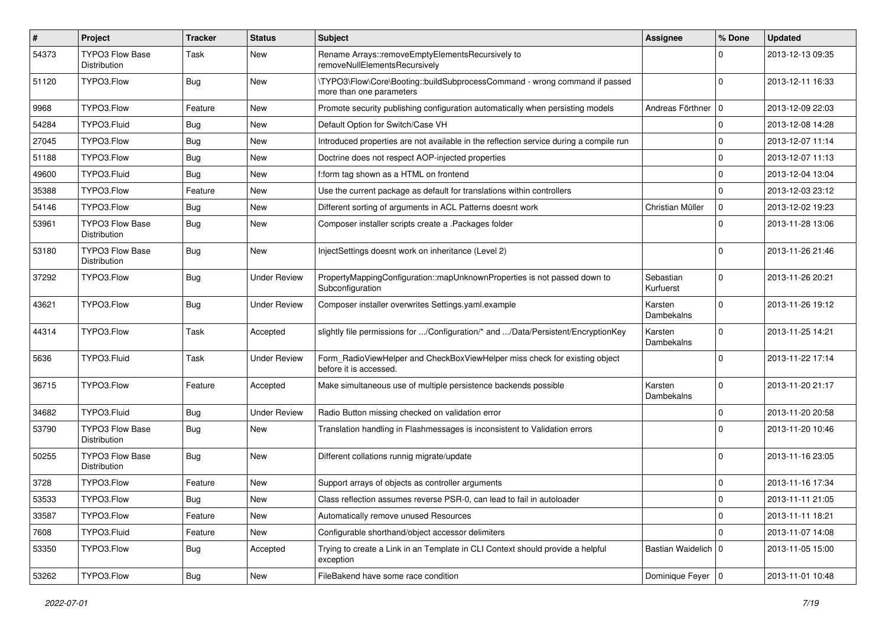| $\pmb{\#}$ | Project                                       | <b>Tracker</b> | <b>Status</b>       | <b>Subject</b>                                                                                         | <b>Assignee</b>        | % Done      | <b>Updated</b>   |
|------------|-----------------------------------------------|----------------|---------------------|--------------------------------------------------------------------------------------------------------|------------------------|-------------|------------------|
| 54373      | <b>TYPO3 Flow Base</b><br>Distribution        | Task           | New                 | Rename Arrays::removeEmptyElementsRecursively to<br>removeNullElementsRecursively                      |                        | $\Omega$    | 2013-12-13 09:35 |
| 51120      | TYPO3.Flow                                    | <b>Bug</b>     | <b>New</b>          | \TYPO3\Flow\Core\Booting::buildSubprocessCommand - wrong command if passed<br>more than one parameters |                        | $\Omega$    | 2013-12-11 16:33 |
| 9968       | TYPO3.Flow                                    | Feature        | <b>New</b>          | Promote security publishing configuration automatically when persisting models                         | Andreas Förthner   0   |             | 2013-12-09 22:03 |
| 54284      | TYPO3.Fluid                                   | <b>Bug</b>     | New                 | Default Option for Switch/Case VH                                                                      |                        | $\Omega$    | 2013-12-08 14:28 |
| 27045      | TYPO3.Flow                                    | <b>Bug</b>     | <b>New</b>          | Introduced properties are not available in the reflection service during a compile run                 |                        | 0           | 2013-12-07 11:14 |
| 51188      | TYPO3.Flow                                    | <b>Bug</b>     | New                 | Doctrine does not respect AOP-injected properties                                                      |                        | $\mathbf 0$ | 2013-12-07 11:13 |
| 49600      | TYPO3.Fluid                                   | <b>Bug</b>     | <b>New</b>          | f:form tag shown as a HTML on frontend                                                                 |                        | 0           | 2013-12-04 13:04 |
| 35388      | TYPO3.Flow                                    | Feature        | <b>New</b>          | Use the current package as default for translations within controllers                                 |                        | 0           | 2013-12-03 23:12 |
| 54146      | TYPO3.Flow                                    | <b>Bug</b>     | New                 | Different sorting of arguments in ACL Patterns doesnt work                                             | Christian Müller       | 0           | 2013-12-02 19:23 |
| 53961      | <b>TYPO3 Flow Base</b><br><b>Distribution</b> | Bug            | <b>New</b>          | Composer installer scripts create a .Packages folder                                                   |                        | $\Omega$    | 2013-11-28 13:06 |
| 53180      | <b>TYPO3 Flow Base</b><br>Distribution        | Bug            | New                 | InjectSettings doesnt work on inheritance (Level 2)                                                    |                        | $\Omega$    | 2013-11-26 21:46 |
| 37292      | TYPO3.Flow                                    | Bug            | <b>Under Review</b> | PropertyMappingConfiguration::mapUnknownProperties is not passed down to<br>Subconfiguration           | Sebastian<br>Kurfuerst | $\mathbf 0$ | 2013-11-26 20:21 |
| 43621      | TYPO3.Flow                                    | <b>Bug</b>     | <b>Under Review</b> | Composer installer overwrites Settings.yaml.example                                                    | Karsten<br>Dambekalns  | 0           | 2013-11-26 19:12 |
| 44314      | TYPO3.Flow                                    | Task           | Accepted            | slightly file permissions for /Configuration/* and /Data/Persistent/EncryptionKey                      | Karsten<br>Dambekalns  | $\Omega$    | 2013-11-25 14:21 |
| 5636       | TYPO3.Fluid                                   | Task           | <b>Under Review</b> | Form RadioViewHelper and CheckBoxViewHelper miss check for existing object<br>before it is accessed.   |                        | $\Omega$    | 2013-11-22 17:14 |
| 36715      | TYPO3.Flow                                    | Feature        | Accepted            | Make simultaneous use of multiple persistence backends possible                                        | Karsten<br>Dambekalns  | $\mathbf 0$ | 2013-11-20 21:17 |
| 34682      | TYPO3.Fluid                                   | <b>Bug</b>     | <b>Under Review</b> | Radio Button missing checked on validation error                                                       |                        | $\mathbf 0$ | 2013-11-20 20:58 |
| 53790      | <b>TYPO3 Flow Base</b><br>Distribution        | Bug            | New                 | Translation handling in Flashmessages is inconsistent to Validation errors                             |                        | 0           | 2013-11-20 10:46 |
| 50255      | <b>TYPO3 Flow Base</b><br>Distribution        | <b>Bug</b>     | New                 | Different collations runnig migrate/update                                                             |                        | $\Omega$    | 2013-11-16 23:05 |
| 3728       | TYPO3.Flow                                    | Feature        | New                 | Support arrays of objects as controller arguments                                                      |                        | $\mathbf 0$ | 2013-11-16 17:34 |
| 53533      | TYPO3.Flow                                    | Bug            | New                 | Class reflection assumes reverse PSR-0, can lead to fail in autoloader                                 |                        | 0           | 2013-11-11 21:05 |
| 33587      | TYPO3.Flow                                    | Feature        | New                 | Automatically remove unused Resources                                                                  |                        | 0           | 2013-11-11 18:21 |
| 7608       | TYPO3.Fluid                                   | Feature        | New                 | Configurable shorthand/object accessor delimiters                                                      |                        | 0           | 2013-11-07 14:08 |
| 53350      | TYPO3.Flow                                    | <b>Bug</b>     | Accepted            | Trying to create a Link in an Template in CLI Context should provide a helpful<br>exception            | Bastian Waidelich 0    |             | 2013-11-05 15:00 |
| 53262      | TYPO3.Flow                                    | Bug            | New                 | FileBakend have some race condition                                                                    | Dominique Feyer   0    |             | 2013-11-01 10:48 |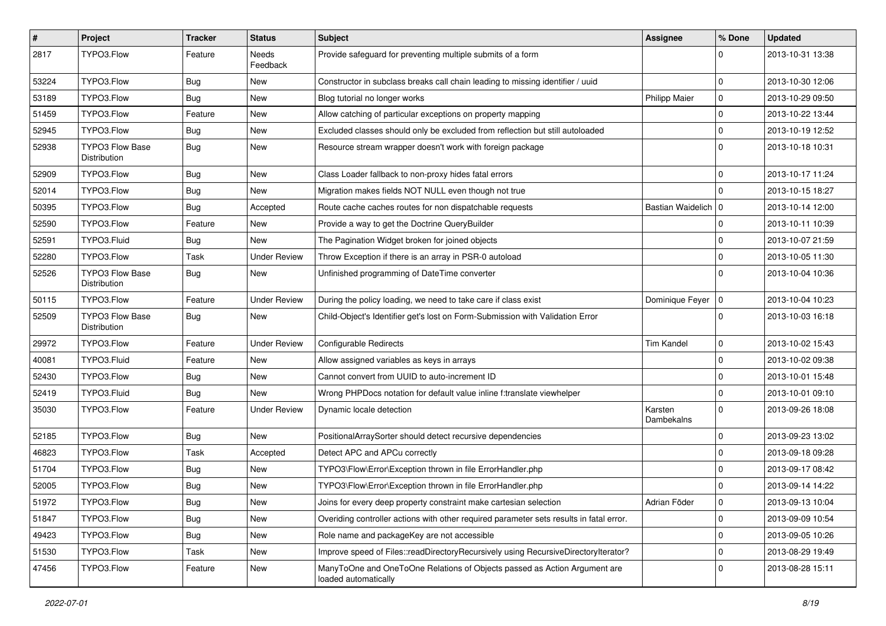| $\sharp$ | Project                                       | <b>Tracker</b> | <b>Status</b>       | <b>Subject</b>                                                                                    | <b>Assignee</b>       | % Done      | <b>Updated</b>   |
|----------|-----------------------------------------------|----------------|---------------------|---------------------------------------------------------------------------------------------------|-----------------------|-------------|------------------|
| 2817     | TYPO3.Flow                                    | Feature        | Needs<br>Feedback   | Provide safeguard for preventing multiple submits of a form                                       |                       |             | 2013-10-31 13:38 |
| 53224    | TYPO3.Flow                                    | Bug            | New                 | Constructor in subclass breaks call chain leading to missing identifier / uuid                    |                       | $\mathbf 0$ | 2013-10-30 12:06 |
| 53189    | TYPO3.Flow                                    | <b>Bug</b>     | New                 | Blog tutorial no longer works                                                                     | <b>Philipp Maier</b>  | 0           | 2013-10-29 09:50 |
| 51459    | TYPO3.Flow                                    | Feature        | New                 | Allow catching of particular exceptions on property mapping                                       |                       | $\mathbf 0$ | 2013-10-22 13:44 |
| 52945    | TYPO3.Flow                                    | Bug            | New                 | Excluded classes should only be excluded from reflection but still autoloaded                     |                       | $\mathbf 0$ | 2013-10-19 12:52 |
| 52938    | <b>TYPO3 Flow Base</b><br>Distribution        | Bug            | New                 | Resource stream wrapper doesn't work with foreign package                                         |                       | $\Omega$    | 2013-10-18 10:31 |
| 52909    | TYPO3.Flow                                    | Bug            | New                 | Class Loader fallback to non-proxy hides fatal errors                                             |                       | $\Omega$    | 2013-10-17 11:24 |
| 52014    | TYPO3.Flow                                    | <b>Bug</b>     | New                 | Migration makes fields NOT NULL even though not true                                              |                       | $\Omega$    | 2013-10-15 18:27 |
| 50395    | TYPO3.Flow                                    | Bug            | Accepted            | Route cache caches routes for non dispatchable requests                                           | Bastian Waidelich   0 |             | 2013-10-14 12:00 |
| 52590    | TYPO3.Flow                                    | Feature        | New                 | Provide a way to get the Doctrine QueryBuilder                                                    |                       | $\mathbf 0$ | 2013-10-11 10:39 |
| 52591    | TYPO3.Fluid                                   | <b>Bug</b>     | New                 | The Pagination Widget broken for joined objects                                                   |                       | $\mathbf 0$ | 2013-10-07 21:59 |
| 52280    | TYPO3.Flow                                    | Task           | <b>Under Review</b> | Throw Exception if there is an array in PSR-0 autoload                                            |                       | $\mathbf 0$ | 2013-10-05 11:30 |
| 52526    | <b>TYPO3 Flow Base</b><br>Distribution        | <b>Bug</b>     | New                 | Unfinished programming of DateTime converter                                                      |                       | $\Omega$    | 2013-10-04 10:36 |
| 50115    | TYPO3.Flow                                    | Feature        | <b>Under Review</b> | During the policy loading, we need to take care if class exist                                    | Dominique Feyer   0   |             | 2013-10-04 10:23 |
| 52509    | <b>TYPO3 Flow Base</b><br><b>Distribution</b> | Bug            | New                 | Child-Object's Identifier get's lost on Form-Submission with Validation Error                     |                       | $\Omega$    | 2013-10-03 16:18 |
| 29972    | TYPO3.Flow                                    | Feature        | <b>Under Review</b> | Configurable Redirects                                                                            | <b>Tim Kandel</b>     | 0           | 2013-10-02 15:43 |
| 40081    | TYPO3.Fluid                                   | Feature        | New                 | Allow assigned variables as keys in arrays                                                        |                       | $\mathbf 0$ | 2013-10-02 09:38 |
| 52430    | TYPO3.Flow                                    | Bug            | New                 | Cannot convert from UUID to auto-increment ID                                                     |                       | $\mathbf 0$ | 2013-10-01 15:48 |
| 52419    | TYPO3.Fluid                                   | <b>Bug</b>     | New                 | Wrong PHPDocs notation for default value inline f:translate viewhelper                            |                       | $\mathbf 0$ | 2013-10-01 09:10 |
| 35030    | TYPO3.Flow                                    | Feature        | <b>Under Review</b> | Dynamic locale detection                                                                          | Karsten<br>Dambekalns | $\Omega$    | 2013-09-26 18:08 |
| 52185    | TYPO3.Flow                                    | Bug            | New                 | PositionalArraySorter should detect recursive dependencies                                        |                       | $\mathbf 0$ | 2013-09-23 13:02 |
| 46823    | TYPO3.Flow                                    | Task           | Accepted            | Detect APC and APCu correctly                                                                     |                       | $\mathbf 0$ | 2013-09-18 09:28 |
| 51704    | TYPO3.Flow                                    | Bug            | New                 | TYPO3\Flow\Error\Exception thrown in file ErrorHandler.php                                        |                       | $\mathbf 0$ | 2013-09-17 08:42 |
| 52005    | TYPO3.Flow                                    | <b>Bug</b>     | New                 | TYPO3\Flow\Error\Exception thrown in file ErrorHandler.php                                        |                       | $\mathbf 0$ | 2013-09-14 14:22 |
| 51972    | TYPO3.Flow                                    | <b>Bug</b>     | New                 | Joins for every deep property constraint make cartesian selection                                 | Adrian Föder          | 0           | 2013-09-13 10:04 |
| 51847    | TYPO3.Flow                                    | <b>Bug</b>     | New                 | Overiding controller actions with other required parameter sets results in fatal error.           |                       | 0           | 2013-09-09 10:54 |
| 49423    | TYPO3.Flow                                    | <b>Bug</b>     | New                 | Role name and packageKey are not accessible                                                       |                       | $\mathbf 0$ | 2013-09-05 10:26 |
| 51530    | TYPO3.Flow                                    | Task           | New                 | Improve speed of Files::readDirectoryRecursively using RecursiveDirectoryIterator?                |                       | 0           | 2013-08-29 19:49 |
| 47456    | TYPO3.Flow                                    | Feature        | New                 | ManyToOne and OneToOne Relations of Objects passed as Action Argument are<br>loaded automatically |                       | $\mathbf 0$ | 2013-08-28 15:11 |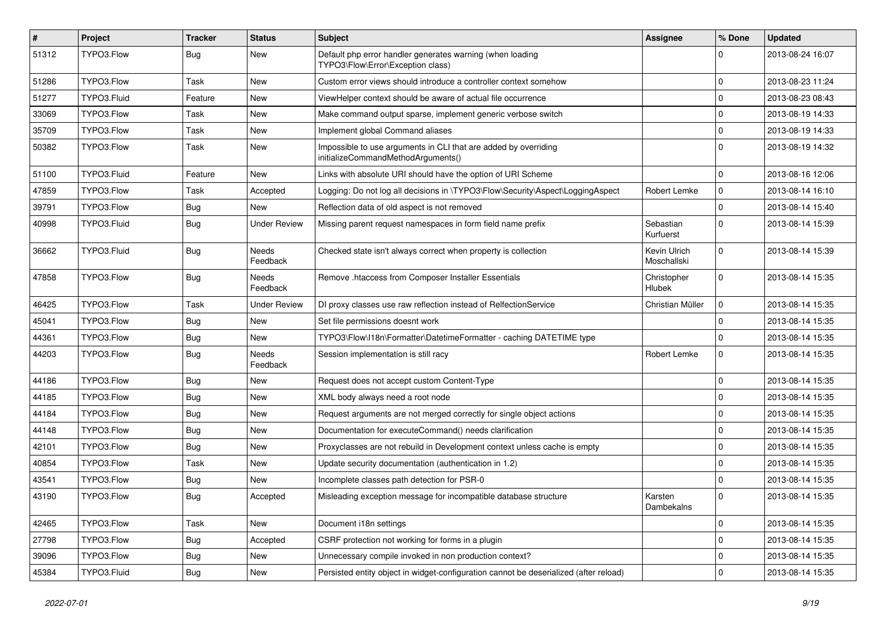| $\vert$ # | Project     | <b>Tracker</b> | <b>Status</b>            | <b>Subject</b>                                                                                        | <b>Assignee</b>             | % Done              | <b>Updated</b>   |
|-----------|-------------|----------------|--------------------------|-------------------------------------------------------------------------------------------------------|-----------------------------|---------------------|------------------|
| 51312     | TYPO3.Flow  | Bug            | New                      | Default php error handler generates warning (when loading<br>TYPO3\Flow\Error\Exception class)        |                             | $\Omega$            | 2013-08-24 16:07 |
| 51286     | TYPO3.Flow  | Task           | <b>New</b>               | Custom error views should introduce a controller context somehow                                      |                             | 0                   | 2013-08-23 11:24 |
| 51277     | TYPO3.Fluid | Feature        | New                      | ViewHelper context should be aware of actual file occurrence                                          |                             | 0                   | 2013-08-23 08:43 |
| 33069     | TYPO3.Flow  | Task           | <b>New</b>               | Make command output sparse, implement generic verbose switch                                          |                             | 0                   | 2013-08-19 14:33 |
| 35709     | TYPO3.Flow  | Task           | New                      | Implement global Command aliases                                                                      |                             | 0                   | 2013-08-19 14:33 |
| 50382     | TYPO3.Flow  | Task           | <b>New</b>               | Impossible to use arguments in CLI that are added by overriding<br>initializeCommandMethodArguments() |                             | $\Omega$            | 2013-08-19 14:32 |
| 51100     | TYPO3.Fluid | Feature        | New                      | Links with absolute URI should have the option of URI Scheme                                          |                             | $\mathbf 0$         | 2013-08-16 12:06 |
| 47859     | TYPO3.Flow  | Task           | Accepted                 | Logging: Do not log all decisions in \TYPO3\Flow\Security\Aspect\LoggingAspect                        | Robert Lemke                | 0                   | 2013-08-14 16:10 |
| 39791     | TYPO3.Flow  | Bug            | <b>New</b>               | Reflection data of old aspect is not removed                                                          |                             | $\mathbf{0}$        | 2013-08-14 15:40 |
| 40998     | TYPO3.Fluid | Bug            | <b>Under Review</b>      | Missing parent request namespaces in form field name prefix                                           | Sebastian<br>Kurfuerst      | $\mathbf 0$         | 2013-08-14 15:39 |
| 36662     | TYPO3.Fluid | Bug            | Needs<br>Feedback        | Checked state isn't always correct when property is collection                                        | Kevin Ulrich<br>Moschallski | $\mathbf 0$         | 2013-08-14 15:39 |
| 47858     | TYPO3.Flow  | Bug            | Needs<br>Feedback        | Remove .htaccess from Composer Installer Essentials                                                   | Christopher<br>Hlubek       | $\mathbf 0$         | 2013-08-14 15:35 |
| 46425     | TYPO3.Flow  | Task           | Under Review             | DI proxy classes use raw reflection instead of RelfectionService                                      | Christian Müller            | $\mathbf 0$         | 2013-08-14 15:35 |
| 45041     | TYPO3.Flow  | Bug            | New                      | Set file permissions doesnt work                                                                      |                             | 0                   | 2013-08-14 15:35 |
| 44361     | TYPO3.Flow  | Bug            | New                      | TYPO3\Flow\I18n\Formatter\DatetimeFormatter - caching DATETIME type                                   |                             | 0                   | 2013-08-14 15:35 |
| 44203     | TYPO3.Flow  | Bug            | <b>Needs</b><br>Feedback | Session implementation is still racy                                                                  | Robert Lemke                | $\mathbf 0$         | 2013-08-14 15:35 |
| 44186     | TYPO3.Flow  | Bug            | New                      | Request does not accept custom Content-Type                                                           |                             | 0                   | 2013-08-14 15:35 |
| 44185     | TYPO3.Flow  | Bug            | New                      | XML body always need a root node                                                                      |                             | 0                   | 2013-08-14 15:35 |
| 44184     | TYPO3.Flow  | Bug            | New                      | Request arguments are not merged correctly for single object actions                                  |                             | $\mathbf 0$         | 2013-08-14 15:35 |
| 44148     | TYPO3.Flow  | Bug            | New                      | Documentation for executeCommand() needs clarification                                                |                             | $\mathbf 0$         | 2013-08-14 15:35 |
| 42101     | TYPO3.Flow  | Bug            | New                      | Proxyclasses are not rebuild in Development context unless cache is empty                             |                             | $\pmb{0}$           | 2013-08-14 15:35 |
| 40854     | TYPO3.Flow  | Task           | New                      | Update security documentation (authentication in 1.2)                                                 |                             | 0                   | 2013-08-14 15:35 |
| 43541     | TYPO3.Flow  | Bug            | New                      | Incomplete classes path detection for PSR-0                                                           |                             | 0                   | 2013-08-14 15:35 |
| 43190     | TYPO3.Flow  | Bug            | Accepted                 | Misleading exception message for incompatible database structure                                      | Karsten<br>Dambekalns       | $\mathbf 0$         | 2013-08-14 15:35 |
| 42465     | TYPO3.Flow  | Task           | New                      | Document i18n settings                                                                                |                             | $\mathbf 0$         | 2013-08-14 15:35 |
| 27798     | TYPO3.Flow  | <b>Bug</b>     | Accepted                 | CSRF protection not working for forms in a plugin                                                     |                             | $\mathsf{O}$        | 2013-08-14 15:35 |
| 39096     | TYPO3.Flow  | <b>Bug</b>     | New                      | Unnecessary compile invoked in non production context?                                                |                             | 0                   | 2013-08-14 15:35 |
| 45384     | TYPO3.Fluid | Bug            | New                      | Persisted entity object in widget-configuration cannot be deserialized (after reload)                 |                             | $\mathsf{O}\xspace$ | 2013-08-14 15:35 |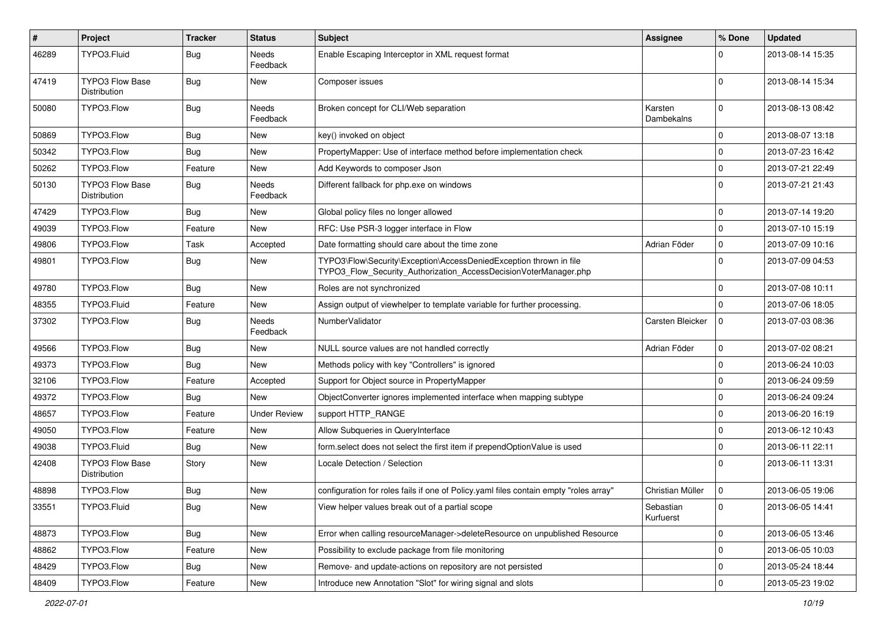| #     | Project                                       | <b>Tracker</b> | <b>Status</b>            | <b>Subject</b>                                                                                                                         | Assignee               | % Done          | <b>Updated</b>   |
|-------|-----------------------------------------------|----------------|--------------------------|----------------------------------------------------------------------------------------------------------------------------------------|------------------------|-----------------|------------------|
| 46289 | TYPO3.Fluid                                   | Bug            | <b>Needs</b><br>Feedback | Enable Escaping Interceptor in XML request format                                                                                      |                        | O               | 2013-08-14 15:35 |
| 47419 | <b>TYPO3 Flow Base</b><br>Distribution        | Bug            | <b>New</b>               | Composer issues                                                                                                                        |                        | $\Omega$        | 2013-08-14 15:34 |
| 50080 | TYPO3.Flow                                    | <b>Bug</b>     | <b>Needs</b><br>Feedback | Broken concept for CLI/Web separation                                                                                                  | Karsten<br>Dambekalns  | $\Omega$        | 2013-08-13 08:42 |
| 50869 | TYPO3.Flow                                    | Bug            | <b>New</b>               | key() invoked on object                                                                                                                |                        | $\Omega$        | 2013-08-07 13:18 |
| 50342 | TYPO3.Flow                                    | Bug            | New                      | PropertyMapper: Use of interface method before implementation check                                                                    |                        | 0               | 2013-07-23 16:42 |
| 50262 | TYPO3.Flow                                    | Feature        | New                      | Add Keywords to composer Json                                                                                                          |                        | $\Omega$        | 2013-07-21 22:49 |
| 50130 | TYPO3 Flow Base<br><b>Distribution</b>        | <b>Bug</b>     | <b>Needs</b><br>Feedback | Different fallback for php.exe on windows                                                                                              |                        | $\Omega$        | 2013-07-21 21:43 |
| 47429 | TYPO3.Flow                                    | Bug            | New                      | Global policy files no longer allowed                                                                                                  |                        | 0               | 2013-07-14 19:20 |
| 49039 | TYPO3.Flow                                    | Feature        | <b>New</b>               | RFC: Use PSR-3 logger interface in Flow                                                                                                |                        | $\Omega$        | 2013-07-10 15:19 |
| 49806 | TYPO3.Flow                                    | Task           | Accepted                 | Date formatting should care about the time zone                                                                                        | Adrian Föder           | 0               | 2013-07-09 10:16 |
| 49801 | TYPO3.Flow                                    | Bug            | New                      | TYPO3\Flow\Security\Exception\AccessDeniedException thrown in file<br>TYPO3_Flow_Security_Authorization_AccessDecisionVoterManager.php |                        | $\Omega$        | 2013-07-09 04:53 |
| 49780 | TYPO3.Flow                                    | Bug            | <b>New</b>               | Roles are not synchronized                                                                                                             |                        | $\Omega$        | 2013-07-08 10:11 |
| 48355 | TYPO3.Fluid                                   | Feature        | New                      | Assign output of viewhelper to template variable for further processing.                                                               |                        | $\mathbf 0$     | 2013-07-06 18:05 |
| 37302 | TYPO3.Flow                                    | Bug            | Needs<br>Feedback        | Number Validator                                                                                                                       | Carsten Bleicker       | 0               | 2013-07-03 08:36 |
| 49566 | TYPO3.Flow                                    | Bug            | <b>New</b>               | NULL source values are not handled correctly                                                                                           | Adrian Föder           | $\mathbf 0$     | 2013-07-02 08:21 |
| 49373 | TYPO3.Flow                                    | Bug            | New                      | Methods policy with key "Controllers" is ignored                                                                                       |                        | $\mathbf 0$     | 2013-06-24 10:03 |
| 32106 | TYPO3.Flow                                    | Feature        | Accepted                 | Support for Object source in PropertyMapper                                                                                            |                        | $\Omega$        | 2013-06-24 09:59 |
| 49372 | TYPO3.Flow                                    | Bug            | New                      | ObjectConverter ignores implemented interface when mapping subtype                                                                     |                        | $\mathbf 0$     | 2013-06-24 09:24 |
| 48657 | TYPO3.Flow                                    | Feature        | <b>Under Review</b>      | support HTTP_RANGE                                                                                                                     |                        | $\Omega$        | 2013-06-20 16:19 |
| 49050 | TYPO3.Flow                                    | Feature        | New                      | Allow Subqueries in QueryInterface                                                                                                     |                        | $\mathbf 0$     | 2013-06-12 10:43 |
| 49038 | TYPO3.Fluid                                   | Bug            | New                      | form select does not select the first item if prependOptionValue is used                                                               |                        | $\mathbf 0$     | 2013-06-11 22:11 |
| 42408 | <b>TYPO3 Flow Base</b><br><b>Distribution</b> | Story          | New                      | Locale Detection / Selection                                                                                                           |                        | $\Omega$        | 2013-06-11 13:31 |
| 48898 | TYPO3.Flow                                    | Bug            | New                      | configuration for roles fails if one of Policy yaml files contain empty "roles array"                                                  | Christian Müller       | 0               | 2013-06-05 19:06 |
| 33551 | TYPO3.Fluid                                   | <b>Bug</b>     | New                      | View helper values break out of a partial scope                                                                                        | Sebastian<br>Kurfuerst | $\vert 0 \vert$ | 2013-06-05 14:41 |
| 48873 | TYPO3.Flow                                    | <b>Bug</b>     | New                      | Error when calling resourceManager->deleteResource on unpublished Resource                                                             |                        | $\mathbf 0$     | 2013-06-05 13:46 |
| 48862 | TYPO3.Flow                                    | Feature        | New                      | Possibility to exclude package from file monitoring                                                                                    |                        | $\mathbf 0$     | 2013-06-05 10:03 |
| 48429 | TYPO3.Flow                                    | <b>Bug</b>     | New                      | Remove- and update-actions on repository are not persisted                                                                             |                        | 0               | 2013-05-24 18:44 |
| 48409 | TYPO3.Flow                                    | Feature        | New                      | Introduce new Annotation "Slot" for wiring signal and slots                                                                            |                        | 0               | 2013-05-23 19:02 |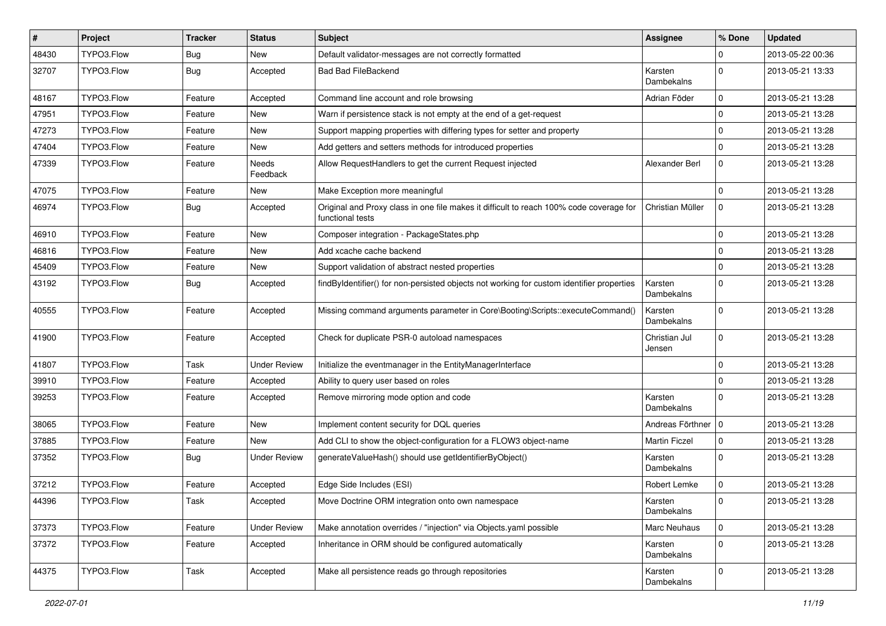| #     | Project    | <b>Tracker</b> | <b>Status</b>       | <b>Subject</b>                                                                                              | <b>Assignee</b>         | % Done      | <b>Updated</b>   |
|-------|------------|----------------|---------------------|-------------------------------------------------------------------------------------------------------------|-------------------------|-------------|------------------|
| 48430 | TYPO3.Flow | <b>Bug</b>     | New                 | Default validator-messages are not correctly formatted                                                      |                         | $\Omega$    | 2013-05-22 00:36 |
| 32707 | TYPO3.Flow | Bug            | Accepted            | <b>Bad Bad FileBackend</b>                                                                                  | Karsten<br>Dambekalns   | $\Omega$    | 2013-05-21 13:33 |
| 48167 | TYPO3.Flow | Feature        | Accepted            | Command line account and role browsing                                                                      | Adrian Föder            | $\mathbf 0$ | 2013-05-21 13:28 |
| 47951 | TYPO3.Flow | Feature        | New                 | Warn if persistence stack is not empty at the end of a get-request                                          |                         | 0           | 2013-05-21 13:28 |
| 47273 | TYPO3.Flow | Feature        | New                 | Support mapping properties with differing types for setter and property                                     |                         | $\mathbf 0$ | 2013-05-21 13:28 |
| 47404 | TYPO3.Flow | Feature        | New                 | Add getters and setters methods for introduced properties                                                   |                         | $\mathbf 0$ | 2013-05-21 13:28 |
| 47339 | TYPO3.Flow | Feature        | Needs<br>Feedback   | Allow RequestHandlers to get the current Request injected                                                   | Alexander Berl          | 0           | 2013-05-21 13:28 |
| 47075 | TYPO3.Flow | Feature        | New                 | Make Exception more meaningful                                                                              |                         | $\mathbf 0$ | 2013-05-21 13:28 |
| 46974 | TYPO3.Flow | Bug            | Accepted            | Original and Proxy class in one file makes it difficult to reach 100% code coverage for<br>functional tests | Christian Müller        | 0           | 2013-05-21 13:28 |
| 46910 | TYPO3.Flow | Feature        | New                 | Composer integration - PackageStates.php                                                                    |                         | 0           | 2013-05-21 13:28 |
| 46816 | TYPO3.Flow | Feature        | New                 | Add xcache cache backend                                                                                    |                         | $\mathbf 0$ | 2013-05-21 13:28 |
| 45409 | TYPO3.Flow | Feature        | New                 | Support validation of abstract nested properties                                                            |                         | $\mathbf 0$ | 2013-05-21 13:28 |
| 43192 | TYPO3.Flow | <b>Bug</b>     | Accepted            | findByIdentifier() for non-persisted objects not working for custom identifier properties                   | Karsten<br>Dambekalns   | $\Omega$    | 2013-05-21 13:28 |
| 40555 | TYPO3.Flow | Feature        | Accepted            | Missing command arguments parameter in Core\Booting\Scripts::executeCommand()                               | Karsten<br>Dambekalns   | $\Omega$    | 2013-05-21 13:28 |
| 41900 | TYPO3.Flow | Feature        | Accepted            | Check for duplicate PSR-0 autoload namespaces                                                               | Christian Jul<br>Jensen | $\Omega$    | 2013-05-21 13:28 |
| 41807 | TYPO3.Flow | Task           | <b>Under Review</b> | Initialize the eventmanager in the EntityManagerInterface                                                   |                         | $\mathbf 0$ | 2013-05-21 13:28 |
| 39910 | TYPO3.Flow | Feature        | Accepted            | Ability to query user based on roles                                                                        |                         | $\mathbf 0$ | 2013-05-21 13:28 |
| 39253 | TYPO3.Flow | Feature        | Accepted            | Remove mirroring mode option and code                                                                       | Karsten<br>Dambekalns   | $\Omega$    | 2013-05-21 13:28 |
| 38065 | TYPO3.Flow | Feature        | New                 | Implement content security for DQL queries                                                                  | Andreas Förthner   0    |             | 2013-05-21 13:28 |
| 37885 | TYPO3.Flow | Feature        | New                 | Add CLI to show the object-configuration for a FLOW3 object-name                                            | <b>Martin Ficzel</b>    | 0           | 2013-05-21 13:28 |
| 37352 | TYPO3.Flow | Bug            | <b>Under Review</b> | generateValueHash() should use getIdentifierByObject()                                                      | Karsten<br>Dambekalns   | $\Omega$    | 2013-05-21 13:28 |
| 37212 | TYPO3.Flow | Feature        | Accepted            | Edge Side Includes (ESI)                                                                                    | Robert Lemke            | $\mathbf 0$ | 2013-05-21 13:28 |
| 44396 | TYPO3.Flow | Task           | Accepted            | Move Doctrine ORM integration onto own namespace                                                            | Karsten<br>Dambekalns   |             | 2013-05-21 13:28 |
| 37373 | TYPO3.Flow | Feature        | <b>Under Review</b> | Make annotation overrides / "injection" via Objects.yaml possible                                           | Marc Neuhaus            | 0           | 2013-05-21 13:28 |
| 37372 | TYPO3.Flow | Feature        | Accepted            | Inheritance in ORM should be configured automatically                                                       | Karsten<br>Dambekalns   | $\mathbf 0$ | 2013-05-21 13:28 |
| 44375 | TYPO3.Flow | Task           | Accepted            | Make all persistence reads go through repositories                                                          | Karsten<br>Dambekalns   | $\mathbf 0$ | 2013-05-21 13:28 |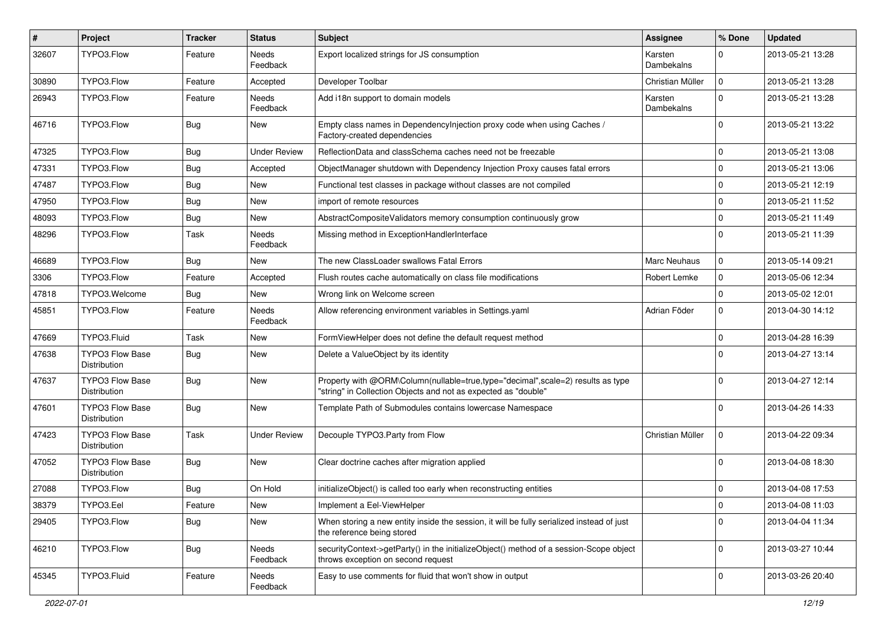| #     | Project                                       | <b>Tracker</b> | <b>Status</b>            | <b>Subject</b>                                                                                                                                    | <b>Assignee</b>       | % Done      | <b>Updated</b>   |
|-------|-----------------------------------------------|----------------|--------------------------|---------------------------------------------------------------------------------------------------------------------------------------------------|-----------------------|-------------|------------------|
| 32607 | TYPO3.Flow                                    | Feature        | <b>Needs</b><br>Feedback | Export localized strings for JS consumption                                                                                                       | Karsten<br>Dambekalns | $\Omega$    | 2013-05-21 13:28 |
| 30890 | TYPO3.Flow                                    | Feature        | Accepted                 | Developer Toolbar                                                                                                                                 | Christian Müller      | $\mathbf 0$ | 2013-05-21 13:28 |
| 26943 | TYPO3.Flow                                    | Feature        | Needs<br>Feedback        | Add i18n support to domain models                                                                                                                 | Karsten<br>Dambekalns | $\Omega$    | 2013-05-21 13:28 |
| 46716 | TYPO3.Flow                                    | Bug            | <b>New</b>               | Empty class names in DependencyInjection proxy code when using Caches /<br>Factory-created dependencies                                           |                       | $\Omega$    | 2013-05-21 13:22 |
| 47325 | TYPO3.Flow                                    | Bug            | <b>Under Review</b>      | ReflectionData and classSchema caches need not be freezable                                                                                       |                       | $\mathbf 0$ | 2013-05-21 13:08 |
| 47331 | TYPO3.Flow                                    | Bug            | Accepted                 | ObjectManager shutdown with Dependency Injection Proxy causes fatal errors                                                                        |                       | $\Omega$    | 2013-05-21 13:06 |
| 47487 | TYPO3.Flow                                    | Bug            | <b>New</b>               | Functional test classes in package without classes are not compiled                                                                               |                       | $\Omega$    | 2013-05-21 12:19 |
| 47950 | TYPO3.Flow                                    | Bug            | New                      | import of remote resources                                                                                                                        |                       | $\Omega$    | 2013-05-21 11:52 |
| 48093 | TYPO3.Flow                                    | Bug            | New                      | AbstractCompositeValidators memory consumption continuously grow                                                                                  |                       | $\mathbf 0$ | 2013-05-21 11:49 |
| 48296 | TYPO3.Flow                                    | Task           | <b>Needs</b><br>Feedback | Missing method in ExceptionHandlerInterface                                                                                                       |                       | $\Omega$    | 2013-05-21 11:39 |
| 46689 | TYPO3.Flow                                    | Bug            | New                      | The new ClassLoader swallows Fatal Errors                                                                                                         | Marc Neuhaus          | $\mathbf 0$ | 2013-05-14 09:21 |
| 3306  | TYPO3.Flow                                    | Feature        | Accepted                 | Flush routes cache automatically on class file modifications                                                                                      | Robert Lemke          | $\mathbf 0$ | 2013-05-06 12:34 |
| 47818 | TYPO3.Welcome                                 | Bug            | New                      | Wrong link on Welcome screen                                                                                                                      |                       | $\Omega$    | 2013-05-02 12:01 |
| 45851 | TYPO3.Flow                                    | Feature        | Needs<br>Feedback        | Allow referencing environment variables in Settings.yaml                                                                                          | Adrian Föder          | $\mathbf 0$ | 2013-04-30 14:12 |
| 47669 | TYPO3.Fluid                                   | Task           | <b>New</b>               | FormViewHelper does not define the default request method                                                                                         |                       | $\mathbf 0$ | 2013-04-28 16:39 |
| 47638 | <b>TYPO3 Flow Base</b><br><b>Distribution</b> | Bug            | <b>New</b>               | Delete a ValueObject by its identity                                                                                                              |                       | $\Omega$    | 2013-04-27 13:14 |
| 47637 | TYPO3 Flow Base<br>Distribution               | Bug            | New                      | Property with @ORM\Column(nullable=true,type="decimal",scale=2) results as type<br>"string" in Collection Objects and not as expected as "double" |                       | $\Omega$    | 2013-04-27 12:14 |
| 47601 | TYPO3 Flow Base<br>Distribution               | Bug            | <b>New</b>               | Template Path of Submodules contains lowercase Namespace                                                                                          |                       | $\Omega$    | 2013-04-26 14:33 |
| 47423 | <b>TYPO3 Flow Base</b><br>Distribution        | Task           | <b>Under Review</b>      | Decouple TYPO3.Party from Flow                                                                                                                    | Christian Müller      | $\mathbf 0$ | 2013-04-22 09:34 |
| 47052 | TYPO3 Flow Base<br>Distribution               | Bug            | New                      | Clear doctrine caches after migration applied                                                                                                     |                       | $\Omega$    | 2013-04-08 18:30 |
| 27088 | TYPO3.Flow                                    | Bug            | On Hold                  | initializeObject() is called too early when reconstructing entities                                                                               |                       | $\mathbf 0$ | 2013-04-08 17:53 |
| 38379 | TYPO3.Eel                                     | Feature        | New                      | Implement a Eel-ViewHelper                                                                                                                        |                       | 0           | 2013-04-08 11:03 |
| 29405 | TYPO3.Flow                                    | <b>Bug</b>     | New                      | When storing a new entity inside the session, it will be fully serialized instead of just<br>the reference being stored                           |                       | $\mathbf 0$ | 2013-04-04 11:34 |
| 46210 | TYPO3.Flow                                    | <b>Bug</b>     | Needs<br>Feedback        | securityContext->getParty() in the initializeObject() method of a session-Scope object<br>throws exception on second request                      |                       | $\mathbf 0$ | 2013-03-27 10:44 |
| 45345 | TYPO3.Fluid                                   | Feature        | Needs<br>Feedback        | Easy to use comments for fluid that won't show in output                                                                                          |                       | $\mathbf 0$ | 2013-03-26 20:40 |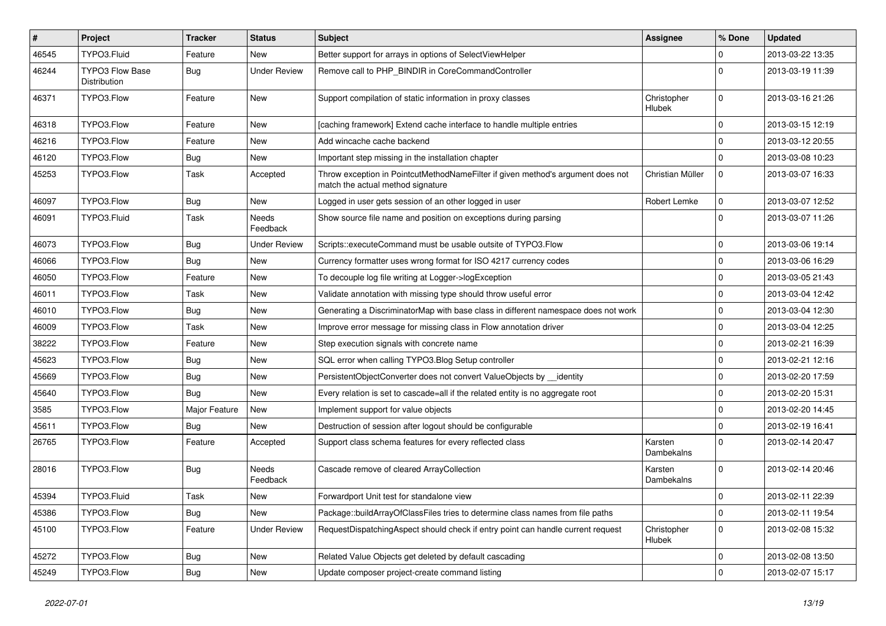| $\pmb{\#}$ | Project                                | <b>Tracker</b> | <b>Status</b>            | <b>Subject</b>                                                                                                       | <b>Assignee</b>       | % Done      | <b>Updated</b>   |
|------------|----------------------------------------|----------------|--------------------------|----------------------------------------------------------------------------------------------------------------------|-----------------------|-------------|------------------|
| 46545      | TYPO3.Fluid                            | Feature        | <b>New</b>               | Better support for arrays in options of SelectViewHelper                                                             |                       | 0           | 2013-03-22 13:35 |
| 46244      | <b>TYPO3 Flow Base</b><br>Distribution | Bug            | <b>Under Review</b>      | Remove call to PHP_BINDIR in CoreCommandController                                                                   |                       | $\Omega$    | 2013-03-19 11:39 |
| 46371      | TYPO3.Flow                             | Feature        | New                      | Support compilation of static information in proxy classes                                                           | Christopher<br>Hlubek | 0           | 2013-03-16 21:26 |
| 46318      | TYPO3.Flow                             | Feature        | New                      | [caching framework] Extend cache interface to handle multiple entries                                                |                       | $\mathbf 0$ | 2013-03-15 12:19 |
| 46216      | TYPO3.Flow                             | Feature        | <b>New</b>               | Add wincache cache backend                                                                                           |                       | 0           | 2013-03-12 20:55 |
| 46120      | TYPO3.Flow                             | <b>Bug</b>     | New                      | Important step missing in the installation chapter                                                                   |                       | 0           | 2013-03-08 10:23 |
| 45253      | TYPO3.Flow                             | Task           | Accepted                 | Throw exception in PointcutMethodNameFilter if given method's argument does not<br>match the actual method signature | Christian Müller      | $\mathbf 0$ | 2013-03-07 16:33 |
| 46097      | TYPO3.Flow                             | <b>Bug</b>     | <b>New</b>               | Logged in user gets session of an other logged in user                                                               | Robert Lemke          | $\mathbf 0$ | 2013-03-07 12:52 |
| 46091      | TYPO3.Fluid                            | Task           | Needs<br>Feedback        | Show source file name and position on exceptions during parsing                                                      |                       | $\Omega$    | 2013-03-07 11:26 |
| 46073      | TYPO3.Flow                             | <b>Bug</b>     | <b>Under Review</b>      | Scripts::executeCommand must be usable outsite of TYPO3.Flow                                                         |                       | $\mathbf 0$ | 2013-03-06 19:14 |
| 46066      | TYPO3.Flow                             | Bug            | <b>New</b>               | Currency formatter uses wrong format for ISO 4217 currency codes                                                     |                       | 0           | 2013-03-06 16:29 |
| 46050      | TYPO3.Flow                             | Feature        | New                      | To decouple log file writing at Logger->logException                                                                 |                       | $\mathbf 0$ | 2013-03-05 21:43 |
| 46011      | TYPO3.Flow                             | Task           | <b>New</b>               | Validate annotation with missing type should throw useful error                                                      |                       | 0           | 2013-03-04 12:42 |
| 46010      | TYPO3.Flow                             | <b>Bug</b>     | <b>New</b>               | Generating a DiscriminatorMap with base class in different namespace does not work                                   |                       | 0           | 2013-03-04 12:30 |
| 46009      | TYPO3.Flow                             | Task           | <b>New</b>               | Improve error message for missing class in Flow annotation driver                                                    |                       | $\mathbf 0$ | 2013-03-04 12:25 |
| 38222      | TYPO3.Flow                             | Feature        | New                      | Step execution signals with concrete name                                                                            |                       | 0           | 2013-02-21 16:39 |
| 45623      | TYPO3.Flow                             | <b>Bug</b>     | New                      | SQL error when calling TYPO3.Blog Setup controller                                                                   |                       | $\mathbf 0$ | 2013-02-21 12:16 |
| 45669      | TYPO3.Flow                             | <b>Bug</b>     | New                      | PersistentObjectConverter does not convert ValueObjects by identity                                                  |                       | $\mathbf 0$ | 2013-02-20 17:59 |
| 45640      | TYPO3.Flow                             | <b>Bug</b>     | <b>New</b>               | Every relation is set to cascade=all if the related entity is no aggregate root                                      |                       | 0           | 2013-02-20 15:31 |
| 3585       | TYPO3.Flow                             | Major Feature  | New                      | Implement support for value objects                                                                                  |                       | 0           | 2013-02-20 14:45 |
| 45611      | TYPO3.Flow                             | <b>Bug</b>     | New                      | Destruction of session after logout should be configurable                                                           |                       | $\mathbf 0$ | 2013-02-19 16:41 |
| 26765      | TYPO3.Flow                             | Feature        | Accepted                 | Support class schema features for every reflected class                                                              | Karsten<br>Dambekalns | $\Omega$    | 2013-02-14 20:47 |
| 28016      | TYPO3.Flow                             | <b>Bug</b>     | <b>Needs</b><br>Feedback | Cascade remove of cleared ArrayCollection                                                                            | Karsten<br>Dambekalns | $\Omega$    | 2013-02-14 20:46 |
| 45394      | TYPO3.Fluid                            | Task           | New                      | Forwardport Unit test for standalone view                                                                            |                       | $\mathbf 0$ | 2013-02-11 22:39 |
| 45386      | TYPO3.Flow                             | Bug            | New                      | Package::buildArrayOfClassFiles tries to determine class names from file paths                                       |                       | $\mathbf 0$ | 2013-02-11 19:54 |
| 45100      | TYPO3.Flow                             | Feature        | <b>Under Review</b>      | RequestDispatchingAspect should check if entry point can handle current request                                      | Christopher<br>Hlubek | 0           | 2013-02-08 15:32 |
| 45272      | TYPO3.Flow                             | <b>Bug</b>     | New                      | Related Value Objects get deleted by default cascading                                                               |                       | 0           | 2013-02-08 13:50 |
| 45249      | TYPO3.Flow                             | Bug            | New                      | Update composer project-create command listing                                                                       |                       | $\mathbf 0$ | 2013-02-07 15:17 |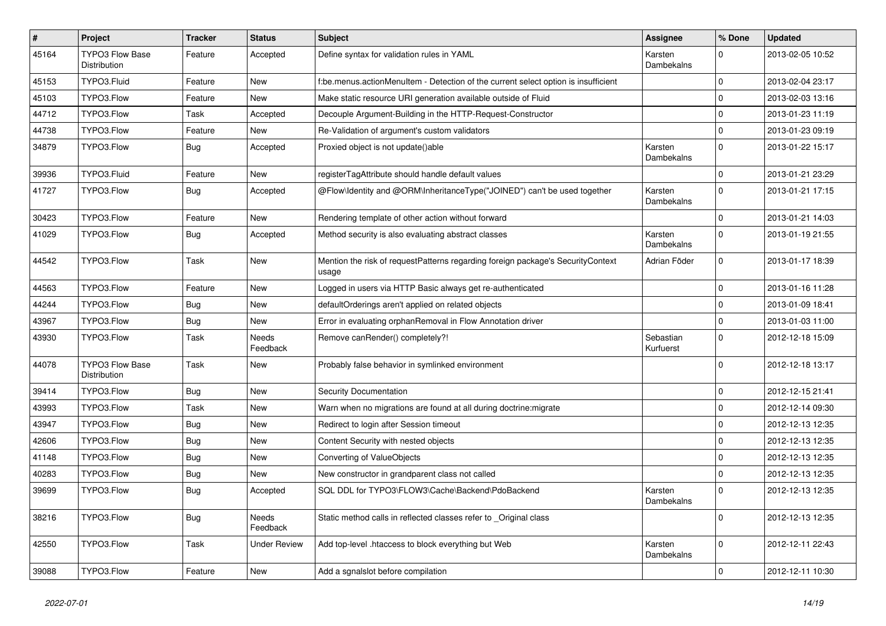| $\vert$ # | Project                                       | <b>Tracker</b> | <b>Status</b>            | Subject                                                                                  | <b>Assignee</b>              | % Done       | <b>Updated</b>   |
|-----------|-----------------------------------------------|----------------|--------------------------|------------------------------------------------------------------------------------------|------------------------------|--------------|------------------|
| 45164     | <b>TYPO3 Flow Base</b><br><b>Distribution</b> | Feature        | Accepted                 | Define syntax for validation rules in YAML                                               | Karsten<br><b>Dambekalns</b> | $\Omega$     | 2013-02-05 10:52 |
| 45153     | TYPO3.Fluid                                   | Feature        | <b>New</b>               | f:be.menus.actionMenuItem - Detection of the current select option is insufficient       |                              | $\mathsf{O}$ | 2013-02-04 23:17 |
| 45103     | TYPO3.Flow                                    | Feature        | <b>New</b>               | Make static resource URI generation available outside of Fluid                           |                              | $\mathbf 0$  | 2013-02-03 13:16 |
| 44712     | TYPO3.Flow                                    | Task           | Accepted                 | Decouple Argument-Building in the HTTP-Request-Constructor                               |                              | $\mathbf 0$  | 2013-01-23 11:19 |
| 44738     | TYPO3.Flow                                    | Feature        | <b>New</b>               | Re-Validation of argument's custom validators                                            |                              | $\mathbf 0$  | 2013-01-23 09:19 |
| 34879     | TYPO3.Flow                                    | <b>Bug</b>     | Accepted                 | Proxied object is not update()able                                                       | Karsten<br>Dambekalns        | $\Omega$     | 2013-01-22 15:17 |
| 39936     | TYPO3.Fluid                                   | Feature        | New                      | registerTagAttribute should handle default values                                        |                              | $\mathbf 0$  | 2013-01-21 23:29 |
| 41727     | TYPO3.Flow                                    | <b>Bug</b>     | Accepted                 | @Flow\Identity and @ORM\InheritanceType("JOINED") can't be used together                 | Karsten<br>Dambekalns        | $\Omega$     | 2013-01-21 17:15 |
| 30423     | TYPO3.Flow                                    | Feature        | New                      | Rendering template of other action without forward                                       |                              | $\mathbf 0$  | 2013-01-21 14:03 |
| 41029     | TYPO3.Flow                                    | Bug            | Accepted                 | Method security is also evaluating abstract classes                                      | Karsten<br>Dambekalns        | $\Omega$     | 2013-01-19 21:55 |
| 44542     | TYPO3.Flow                                    | Task           | <b>New</b>               | Mention the risk of requestPatterns regarding foreign package's SecurityContext<br>usage | Adrian Föder                 | $\Omega$     | 2013-01-17 18:39 |
| 44563     | TYPO3.Flow                                    | Feature        | New                      | Logged in users via HTTP Basic always get re-authenticated                               |                              | $\mathbf 0$  | 2013-01-16 11:28 |
| 44244     | TYPO3.Flow                                    | Bug            | New                      | defaultOrderings aren't applied on related objects                                       |                              | $\mathbf 0$  | 2013-01-09 18:41 |
| 43967     | TYPO3.Flow                                    | Bug            | New                      | Error in evaluating orphanRemoval in Flow Annotation driver                              |                              | $\mathbf 0$  | 2013-01-03 11:00 |
| 43930     | TYPO3.Flow                                    | Task           | <b>Needs</b><br>Feedback | Remove canRender() completely?!                                                          | Sebastian<br>Kurfuerst       | $\Omega$     | 2012-12-18 15:09 |
| 44078     | <b>TYPO3 Flow Base</b><br>Distribution        | Task           | New                      | Probably false behavior in symlinked environment                                         |                              | $\mathbf 0$  | 2012-12-18 13:17 |
| 39414     | TYPO3.Flow                                    | <b>Bug</b>     | <b>New</b>               | <b>Security Documentation</b>                                                            |                              | $\Omega$     | 2012-12-15 21:41 |
| 43993     | TYPO3.Flow                                    | Task           | <b>New</b>               | Warn when no migrations are found at all during doctrine: migrate                        |                              | $\mathbf 0$  | 2012-12-14 09:30 |
| 43947     | TYPO3.Flow                                    | Bug            | New                      | Redirect to login after Session timeout                                                  |                              | $\mathbf 0$  | 2012-12-13 12:35 |
| 42606     | TYPO3.Flow                                    | <b>Bug</b>     | New                      | Content Security with nested objects                                                     |                              | $\mathbf 0$  | 2012-12-13 12:35 |
| 41148     | TYPO3.Flow                                    | <b>Bug</b>     | New                      | Converting of ValueObjects                                                               |                              | $\mathbf 0$  | 2012-12-13 12:35 |
| 40283     | TYPO3.Flow                                    | <b>Bug</b>     | New                      | New constructor in grandparent class not called                                          |                              | $\mathbf 0$  | 2012-12-13 12:35 |
| 39699     | TYPO3.Flow                                    | <b>Bug</b>     | Accepted                 | SQL DDL for TYPO3\FLOW3\Cache\Backend\PdoBackend                                         | Karsten<br>Dambekalns        | $\Omega$     | 2012-12-13 12:35 |
| 38216     | TYPO3.Flow                                    | Bug            | Needs<br>Feedback        | Static method calls in reflected classes refer to Original class                         |                              | $\Omega$     | 2012-12-13 12:35 |
| 42550     | TYPO3.Flow                                    | Task           | <b>Under Review</b>      | Add top-level .htaccess to block everything but Web                                      | Karsten<br>Dambekalns        | $\mathbf 0$  | 2012-12-11 22:43 |
| 39088     | TYPO3.Flow                                    | Feature        | New                      | Add a sgnalslot before compilation                                                       |                              | $\mathbf 0$  | 2012-12-11 10:30 |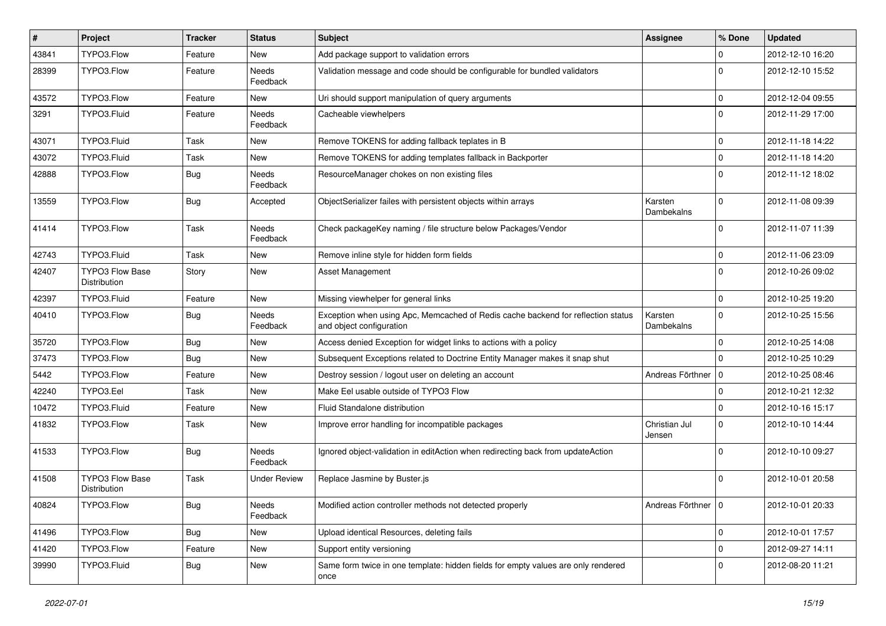| $\pmb{\#}$ | Project                                       | <b>Tracker</b> | <b>Status</b>            | <b>Subject</b>                                                                                               | <b>Assignee</b>         | % Done              | <b>Updated</b>   |
|------------|-----------------------------------------------|----------------|--------------------------|--------------------------------------------------------------------------------------------------------------|-------------------------|---------------------|------------------|
| 43841      | TYPO3.Flow                                    | Feature        | <b>New</b>               | Add package support to validation errors                                                                     |                         | 0                   | 2012-12-10 16:20 |
| 28399      | TYPO3.Flow                                    | Feature        | Needs<br>Feedback        | Validation message and code should be configurable for bundled validators                                    |                         | $\Omega$            | 2012-12-10 15:52 |
| 43572      | TYPO3.Flow                                    | Feature        | New                      | Uri should support manipulation of query arguments                                                           |                         | $\mathbf 0$         | 2012-12-04 09:55 |
| 3291       | TYPO3.Fluid                                   | Feature        | <b>Needs</b><br>Feedback | Cacheable viewhelpers                                                                                        |                         | $\Omega$            | 2012-11-29 17:00 |
| 43071      | TYPO3.Fluid                                   | Task           | <b>New</b>               | Remove TOKENS for adding fallback teplates in B                                                              |                         | 0                   | 2012-11-18 14:22 |
| 43072      | TYPO3.Fluid                                   | Task           | New                      | Remove TOKENS for adding templates fallback in Backporter                                                    |                         | 0                   | 2012-11-18 14:20 |
| 42888      | TYPO3.Flow                                    | Bug            | Needs<br>Feedback        | ResourceManager chokes on non existing files                                                                 |                         | $\Omega$            | 2012-11-12 18:02 |
| 13559      | TYPO3.Flow                                    | Bug            | Accepted                 | ObjectSerializer failes with persistent objects within arrays                                                | Karsten<br>Dambekalns   | $\Omega$            | 2012-11-08 09:39 |
| 41414      | TYPO3.Flow                                    | Task           | <b>Needs</b><br>Feedback | Check packageKey naming / file structure below Packages/Vendor                                               |                         | $\Omega$            | 2012-11-07 11:39 |
| 42743      | TYPO3.Fluid                                   | Task           | <b>New</b>               | Remove inline style for hidden form fields                                                                   |                         | 0                   | 2012-11-06 23:09 |
| 42407      | <b>TYPO3 Flow Base</b><br><b>Distribution</b> | Story          | <b>New</b>               | <b>Asset Management</b>                                                                                      |                         | 0                   | 2012-10-26 09:02 |
| 42397      | TYPO3.Fluid                                   | Feature        | <b>New</b>               | Missing viewhelper for general links                                                                         |                         | $\mathbf 0$         | 2012-10-25 19:20 |
| 40410      | TYPO3.Flow                                    | Bug            | Needs<br>Feedback        | Exception when using Apc, Memcached of Redis cache backend for reflection status<br>and object configuration | Karsten<br>Dambekalns   | $\Omega$            | 2012-10-25 15:56 |
| 35720      | TYPO3.Flow                                    | <b>Bug</b>     | <b>New</b>               | Access denied Exception for widget links to actions with a policy                                            |                         | 0                   | 2012-10-25 14:08 |
| 37473      | TYPO3.Flow                                    | <b>Bug</b>     | New                      | Subsequent Exceptions related to Doctrine Entity Manager makes it snap shut                                  |                         | $\Omega$            | 2012-10-25 10:29 |
| 5442       | TYPO3.Flow                                    | Feature        | <b>New</b>               | Destroy session / logout user on deleting an account                                                         | Andreas Förthner   0    |                     | 2012-10-25 08:46 |
| 42240      | TYPO3.Eel                                     | Task           | <b>New</b>               | Make Eel usable outside of TYPO3 Flow                                                                        |                         | 0                   | 2012-10-21 12:32 |
| 10472      | TYPO3.Fluid                                   | Feature        | <b>New</b>               | Fluid Standalone distribution                                                                                |                         | 0                   | 2012-10-16 15:17 |
| 41832      | TYPO3.Flow                                    | Task           | <b>New</b>               | Improve error handling for incompatible packages                                                             | Christian Jul<br>Jensen | 0                   | 2012-10-10 14:44 |
| 41533      | TYPO3.Flow                                    | Bug            | <b>Needs</b><br>Feedback | Ignored object-validation in editAction when redirecting back from updateAction                              |                         | $\Omega$            | 2012-10-10 09:27 |
| 41508      | <b>TYPO3 Flow Base</b><br>Distribution        | Task           | <b>Under Review</b>      | Replace Jasmine by Buster.js                                                                                 |                         | $\Omega$            | 2012-10-01 20:58 |
| 40824      | TYPO3.Flow                                    | <b>Bug</b>     | Needs<br>Feedback        | Modified action controller methods not detected properly                                                     | Andreas Förthner   0    |                     | 2012-10-01 20:33 |
| 41496      | TYPO3.Flow                                    | <b>Bug</b>     | New                      | Upload identical Resources, deleting fails                                                                   |                         | $\mathsf{O}\xspace$ | 2012-10-01 17:57 |
| 41420      | TYPO3.Flow                                    | Feature        | New                      | Support entity versioning                                                                                    |                         | 0                   | 2012-09-27 14:11 |
| 39990      | TYPO3.Fluid                                   | Bug            | New                      | Same form twice in one template: hidden fields for empty values are only rendered<br>once                    |                         | 0                   | 2012-08-20 11:21 |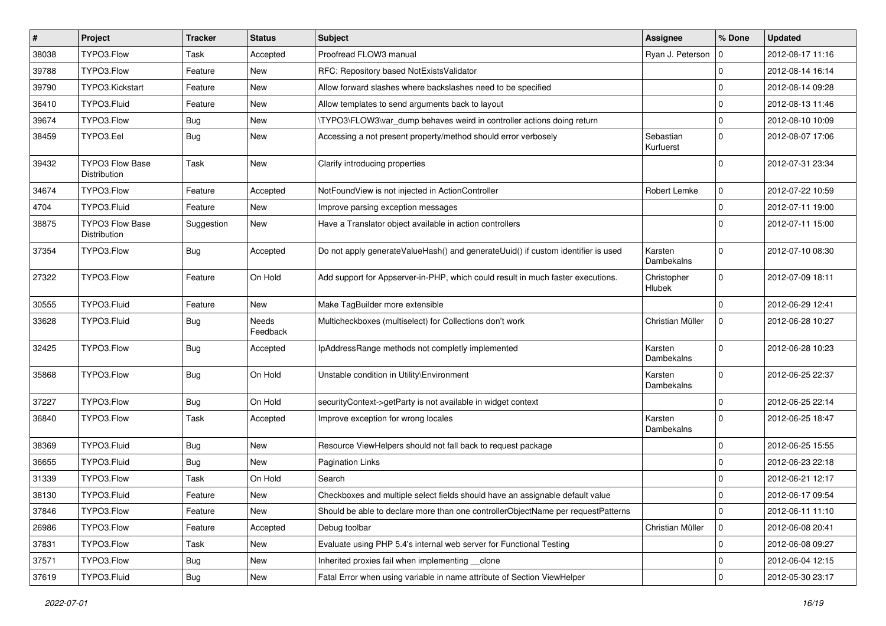| $\sharp$ | Project                                | <b>Tracker</b> | <b>Status</b>     | <b>Subject</b>                                                                   | <b>Assignee</b>        | % Done         | <b>Updated</b>   |
|----------|----------------------------------------|----------------|-------------------|----------------------------------------------------------------------------------|------------------------|----------------|------------------|
| 38038    | TYPO3.Flow                             | <b>Task</b>    | Accepted          | Proofread FLOW3 manual                                                           | Ryan J. Peterson       | 10             | 2012-08-17 11:16 |
| 39788    | TYPO3.Flow                             | Feature        | New               | RFC: Repository based NotExistsValidator                                         |                        | $\Omega$       | 2012-08-14 16:14 |
| 39790    | TYPO3.Kickstart                        | Feature        | New               | Allow forward slashes where backslashes need to be specified                     |                        | $\Omega$       | 2012-08-14 09:28 |
| 36410    | TYPO3.Fluid                            | Feature        | New               | Allow templates to send arguments back to layout                                 |                        | $\overline{0}$ | 2012-08-13 11:46 |
| 39674    | TYPO3.Flow                             | <b>Bug</b>     | New               | \TYPO3\FLOW3\var_dump behaves weird in controller actions doing return           |                        | $\mathbf 0$    | 2012-08-10 10:09 |
| 38459    | TYPO3.Eel                              | Bug            | New               | Accessing a not present property/method should error verbosely                   | Sebastian<br>Kurfuerst | $\Omega$       | 2012-08-07 17:06 |
| 39432    | <b>TYPO3 Flow Base</b><br>Distribution | <b>Task</b>    | New               | Clarify introducing properties                                                   |                        | $\Omega$       | 2012-07-31 23:34 |
| 34674    | TYPO3.Flow                             | Feature        | Accepted          | NotFoundView is not injected in ActionController                                 | Robert Lemke           | $\mathbf 0$    | 2012-07-22 10:59 |
| 4704     | TYPO3.Fluid                            | Feature        | New               | Improve parsing exception messages                                               |                        | $\Omega$       | 2012-07-11 19:00 |
| 38875    | <b>TYPO3 Flow Base</b><br>Distribution | Suggestion     | New               | Have a Translator object available in action controllers                         |                        | $\Omega$       | 2012-07-11 15:00 |
| 37354    | TYPO3.Flow                             | <b>Bug</b>     | Accepted          | Do not apply generateValueHash() and generateUuid() if custom identifier is used | Karsten<br>Dambekalns  | $\Omega$       | 2012-07-10 08:30 |
| 27322    | TYPO3.Flow                             | Feature        | On Hold           | Add support for Appserver-in-PHP, which could result in much faster executions.  | Christopher<br>Hlubek  | $\Omega$       | 2012-07-09 18:11 |
| 30555    | TYPO3.Fluid                            | Feature        | <b>New</b>        | Make TagBuilder more extensible                                                  |                        | $\Omega$       | 2012-06-29 12:41 |
| 33628    | TYPO3.Fluid                            | Bug            | Needs<br>Feedback | Multicheckboxes (multiselect) for Collections don't work                         | Christian Müller       | $\mathbf 0$    | 2012-06-28 10:27 |
| 32425    | TYPO3.Flow                             | Bug            | Accepted          | IpAddressRange methods not completly implemented                                 | Karsten<br>Dambekalns  | $\Omega$       | 2012-06-28 10:23 |
| 35868    | TYPO3.Flow                             | <b>Bug</b>     | On Hold           | Unstable condition in Utility\Environment                                        | Karsten<br>Dambekalns  | $\Omega$       | 2012-06-25 22:37 |
| 37227    | TYPO3.Flow                             | <b>Bug</b>     | On Hold           | securityContext->getParty is not available in widget context                     |                        | $\Omega$       | 2012-06-25 22:14 |
| 36840    | TYPO3.Flow                             | Task           | Accepted          | Improve exception for wrong locales                                              | Karsten<br>Dambekalns  | $\Omega$       | 2012-06-25 18:47 |
| 38369    | TYPO3.Fluid                            | Bug            | New               | Resource ViewHelpers should not fall back to request package                     |                        | $\Omega$       | 2012-06-25 15:55 |
| 36655    | TYPO3.Fluid                            | <b>Bug</b>     | New               | <b>Pagination Links</b>                                                          |                        | $\Omega$       | 2012-06-23 22:18 |
| 31339    | TYPO3.Flow                             | Task           | On Hold           | Search                                                                           |                        | $\Omega$       | 2012-06-21 12:17 |
| 38130    | TYPO3.Fluid                            | Feature        | New               | Checkboxes and multiple select fields should have an assignable default value    |                        | $\Omega$       | 2012-06-17 09:54 |
| 37846    | TYPO3.Flow                             | Feature        | New               | Should be able to declare more than one controllerObjectName per requestPatterns |                        | 0              | 2012-06-11 11:10 |
| 26986    | TYPO3.Flow                             | Feature        | Accepted          | Debug toolbar                                                                    | Christian Müller       | 0              | 2012-06-08 20:41 |
| 37831    | TYPO3.Flow                             | Task           | New               | Evaluate using PHP 5.4's internal web server for Functional Testing              |                        | 0              | 2012-06-08 09:27 |
| 37571    | TYPO3.Flow                             | <b>Bug</b>     | New               | Inherited proxies fail when implementing __clone                                 |                        | 0              | 2012-06-04 12:15 |
| 37619    | TYPO3.Fluid                            | Bug            | New               | Fatal Error when using variable in name attribute of Section ViewHelper          |                        | 0              | 2012-05-30 23:17 |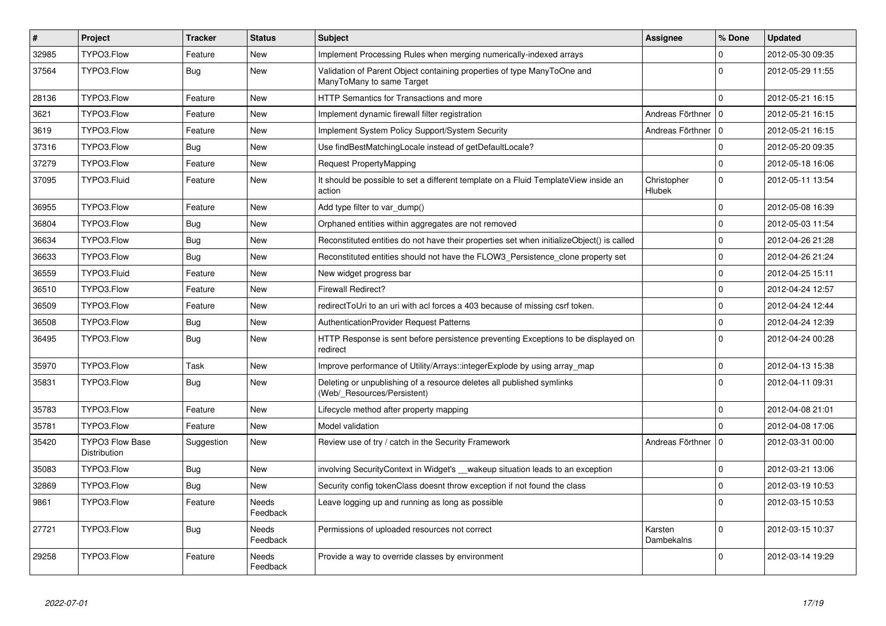| $\vert$ # | Project                                | <b>Tracker</b> | <b>Status</b>            | <b>Subject</b>                                                                                       | <b>Assignee</b>              | % Done       | <b>Updated</b>   |
|-----------|----------------------------------------|----------------|--------------------------|------------------------------------------------------------------------------------------------------|------------------------------|--------------|------------------|
| 32985     | TYPO3.Flow                             | Feature        | <b>New</b>               | Implement Processing Rules when merging numerically-indexed arrays                                   |                              | 0            | 2012-05-30 09:35 |
| 37564     | TYPO3.Flow                             | <b>Bug</b>     | <b>New</b>               | Validation of Parent Object containing properties of type ManyToOne and<br>ManyToMany to same Target |                              | $\Omega$     | 2012-05-29 11:55 |
| 28136     | TYPO3.Flow                             | Feature        | <b>New</b>               | <b>HTTP Semantics for Transactions and more</b>                                                      |                              | 0            | 2012-05-21 16:15 |
| 3621      | TYPO3.Flow                             | Feature        | <b>New</b>               | Implement dynamic firewall filter registration                                                       | Andreas Förthner   0         |              | 2012-05-21 16:15 |
| 3619      | TYPO3.Flow                             | Feature        | <b>New</b>               | Implement System Policy Support/System Security                                                      | Andreas Förthner   0         |              | 2012-05-21 16:15 |
| 37316     | TYPO3.Flow                             | Bug            | <b>New</b>               | Use findBestMatchingLocale instead of getDefaultLocale?                                              |                              | $\mathbf 0$  | 2012-05-20 09:35 |
| 37279     | TYPO3.Flow                             | Feature        | <b>New</b>               | Request PropertyMapping                                                                              |                              | 0            | 2012-05-18 16:06 |
| 37095     | TYPO3.Fluid                            | Feature        | <b>New</b>               | It should be possible to set a different template on a Fluid TemplateView inside an<br>action        | Christopher<br><b>Hlubek</b> | $\Omega$     | 2012-05-11 13:54 |
| 36955     | TYPO3.Flow                             | Feature        | <b>New</b>               | Add type filter to var dump()                                                                        |                              | 0            | 2012-05-08 16:39 |
| 36804     | TYPO3.Flow                             | Bug            | <b>New</b>               | Orphaned entities within aggregates are not removed                                                  |                              | $\Omega$     | 2012-05-03 11:54 |
| 36634     | TYPO3.Flow                             | Bug            | <b>New</b>               | Reconstituted entities do not have their properties set when initializeObject() is called            |                              | $\mathbf 0$  | 2012-04-26 21:28 |
| 36633     | TYPO3.Flow                             | <b>Bug</b>     | New                      | Reconstituted entities should not have the FLOW3 Persistence clone property set                      |                              | $\mathbf{0}$ | 2012-04-26 21:24 |
| 36559     | TYPO3.Fluid                            | Feature        | <b>New</b>               | New widget progress bar                                                                              |                              | $\mathbf 0$  | 2012-04-25 15:11 |
| 36510     | TYPO3.Flow                             | Feature        | <b>New</b>               | <b>Firewall Redirect?</b>                                                                            |                              | $\mathbf 0$  | 2012-04-24 12:57 |
| 36509     | TYPO3.Flow                             | Feature        | <b>New</b>               | redirectToUri to an uri with acl forces a 403 because of missing csrf token.                         |                              | 0            | 2012-04-24 12:44 |
| 36508     | TYPO3.Flow                             | <b>Bug</b>     | New                      | <b>AuthenticationProvider Request Patterns</b>                                                       |                              | $\mathbf 0$  | 2012-04-24 12:39 |
| 36495     | TYPO3.Flow                             | Bug            | <b>New</b>               | HTTP Response is sent before persistence preventing Exceptions to be displayed on<br>redirect        |                              | $\Omega$     | 2012-04-24 00:28 |
| 35970     | TYPO3.Flow                             | Task           | <b>New</b>               | Improve performance of Utility/Arrays::integerExplode by using array_map                             |                              | $\Omega$     | 2012-04-13 15:38 |
| 35831     | TYPO3.Flow                             | Bug            | <b>New</b>               | Deleting or unpublishing of a resource deletes all published symlinks<br>(Web/_Resources/Persistent) |                              | $\Omega$     | 2012-04-11 09:31 |
| 35783     | TYPO3.Flow                             | Feature        | <b>New</b>               | Lifecycle method after property mapping                                                              |                              | $\Omega$     | 2012-04-08 21:01 |
| 35781     | TYPO3.Flow                             | Feature        | <b>New</b>               | Model validation                                                                                     |                              | $\Omega$     | 2012-04-08 17:06 |
| 35420     | <b>TYPO3 Flow Base</b><br>Distribution | Suggestion     | <b>New</b>               | Review use of try / catch in the Security Framework                                                  | Andreas Förthner   0         |              | 2012-03-31 00:00 |
| 35083     | TYPO3.Flow                             | Bug            | <b>New</b>               | involving Security Context in Widget's wakeup situation leads to an exception                        |                              | 0            | 2012-03-21 13:06 |
| 32869     | TYPO3.Flow                             | Bug            | <b>New</b>               | Security config tokenClass doesnt throw exception if not found the class                             |                              | $\mathbf{0}$ | 2012-03-19 10:53 |
| 9861      | TYPO3.Flow                             | Feature        | <b>Needs</b><br>Feedback | Leave logging up and running as long as possible                                                     |                              | $\Omega$     | 2012-03-15 10:53 |
| 27721     | TYPO3.Flow                             | <b>Bug</b>     | <b>Needs</b><br>Feedback | Permissions of uploaded resources not correct                                                        | Karsten<br>Dambekalns        | $\Omega$     | 2012-03-15 10:37 |
| 29258     | TYPO3.Flow                             | Feature        | Needs<br>Feedback        | Provide a way to override classes by environment                                                     |                              | $\Omega$     | 2012-03-14 19:29 |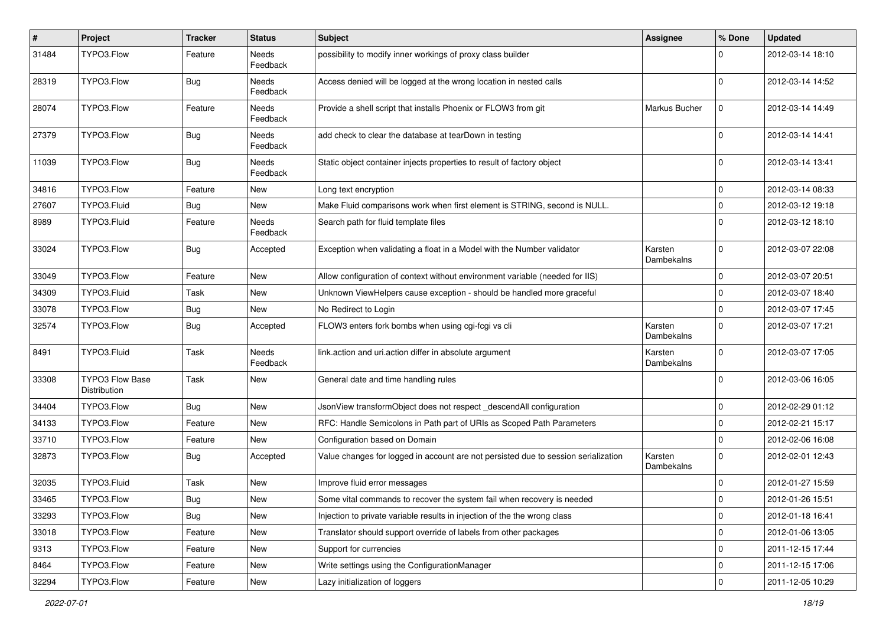| $\sharp$ | Project                                | <b>Tracker</b> | <b>Status</b>            | <b>Subject</b>                                                                     | Assignee              | % Done      | <b>Updated</b>   |
|----------|----------------------------------------|----------------|--------------------------|------------------------------------------------------------------------------------|-----------------------|-------------|------------------|
| 31484    | TYPO3.Flow                             | Feature        | Needs<br>Feedback        | possibility to modify inner workings of proxy class builder                        |                       | ŋ           | 2012-03-14 18:10 |
| 28319    | TYPO3.Flow                             | Bug            | Needs<br>Feedback        | Access denied will be logged at the wrong location in nested calls                 |                       | $\Omega$    | 2012-03-14 14:52 |
| 28074    | TYPO3.Flow                             | Feature        | Needs<br>Feedback        | Provide a shell script that installs Phoenix or FLOW3 from git                     | Markus Bucher         | $\mathbf 0$ | 2012-03-14 14:49 |
| 27379    | TYPO3.Flow                             | Bug            | <b>Needs</b><br>Feedback | add check to clear the database at tearDown in testing                             |                       | $\Omega$    | 2012-03-14 14:41 |
| 11039    | TYPO3.Flow                             | Bug            | Needs<br>Feedback        | Static object container injects properties to result of factory object             |                       | $\Omega$    | 2012-03-14 13:41 |
| 34816    | TYPO3.Flow                             | Feature        | New                      | Long text encryption                                                               |                       | 0           | 2012-03-14 08:33 |
| 27607    | TYPO3.Fluid                            | Bug            | New                      | Make Fluid comparisons work when first element is STRING, second is NULL.          |                       | $\Omega$    | 2012-03-12 19:18 |
| 8989     | TYPO3.Fluid                            | Feature        | Needs<br>Feedback        | Search path for fluid template files                                               |                       | $\Omega$    | 2012-03-12 18:10 |
| 33024    | TYPO3.Flow                             | Bug            | Accepted                 | Exception when validating a float in a Model with the Number validator             | Karsten<br>Dambekalns | $\mathbf 0$ | 2012-03-07 22:08 |
| 33049    | TYPO3.Flow                             | Feature        | New                      | Allow configuration of context without environment variable (needed for IIS)       |                       | $\mathbf 0$ | 2012-03-07 20:51 |
| 34309    | TYPO3.Fluid                            | Task           | New                      | Unknown ViewHelpers cause exception - should be handled more graceful              |                       | $\Omega$    | 2012-03-07 18:40 |
| 33078    | TYPO3.Flow                             | Bug            | New                      | No Redirect to Login                                                               |                       | $\mathbf 0$ | 2012-03-07 17:45 |
| 32574    | TYPO3.Flow                             | Bug            | Accepted                 | FLOW3 enters fork bombs when using cgi-fcgi vs cli                                 | Karsten<br>Dambekalns | $\Omega$    | 2012-03-07 17:21 |
| 8491     | TYPO3.Fluid                            | Task           | Needs<br>Feedback        | link.action and uri.action differ in absolute argument                             | Karsten<br>Dambekalns | $\Omega$    | 2012-03-07 17:05 |
| 33308    | <b>TYPO3 Flow Base</b><br>Distribution | Task           | New                      | General date and time handling rules                                               |                       | $\Omega$    | 2012-03-06 16:05 |
| 34404    | TYPO3.Flow                             | Bug            | New                      | JsonView transformObject does not respect _descendAll configuration                |                       | $\mathbf 0$ | 2012-02-29 01:12 |
| 34133    | TYPO3.Flow                             | Feature        | New                      | RFC: Handle Semicolons in Path part of URIs as Scoped Path Parameters              |                       | 0           | 2012-02-21 15:17 |
| 33710    | TYPO3.Flow                             | Feature        | New                      | Configuration based on Domain                                                      |                       | $\Omega$    | 2012-02-06 16:08 |
| 32873    | TYPO3.Flow                             | Bug            | Accepted                 | Value changes for logged in account are not persisted due to session serialization | Karsten<br>Dambekalns | $\Omega$    | 2012-02-01 12:43 |
| 32035    | TYPO3.Fluid                            | Task           | New                      | Improve fluid error messages                                                       |                       | $\Omega$    | 2012-01-27 15:59 |
| 33465    | TYPO3.Flow                             | Bug            | New                      | Some vital commands to recover the system fail when recovery is needed             |                       | 0           | 2012-01-26 15:51 |
| 33293    | TYPO3.Flow                             | Bug            | New                      | Injection to private variable results in injection of the the wrong class          |                       | 0           | 2012-01-18 16:41 |
| 33018    | TYPO3.Flow                             | Feature        | New                      | Translator should support override of labels from other packages                   |                       | 0           | 2012-01-06 13:05 |
| 9313     | TYPO3.Flow                             | Feature        | New                      | Support for currencies                                                             |                       | 0           | 2011-12-15 17:44 |
| 8464     | TYPO3.Flow                             | Feature        | New                      | Write settings using the ConfigurationManager                                      |                       | $\mathbf 0$ | 2011-12-15 17:06 |
| 32294    | TYPO3.Flow                             | Feature        | New                      | Lazy initialization of loggers                                                     |                       | $\mathbf 0$ | 2011-12-05 10:29 |